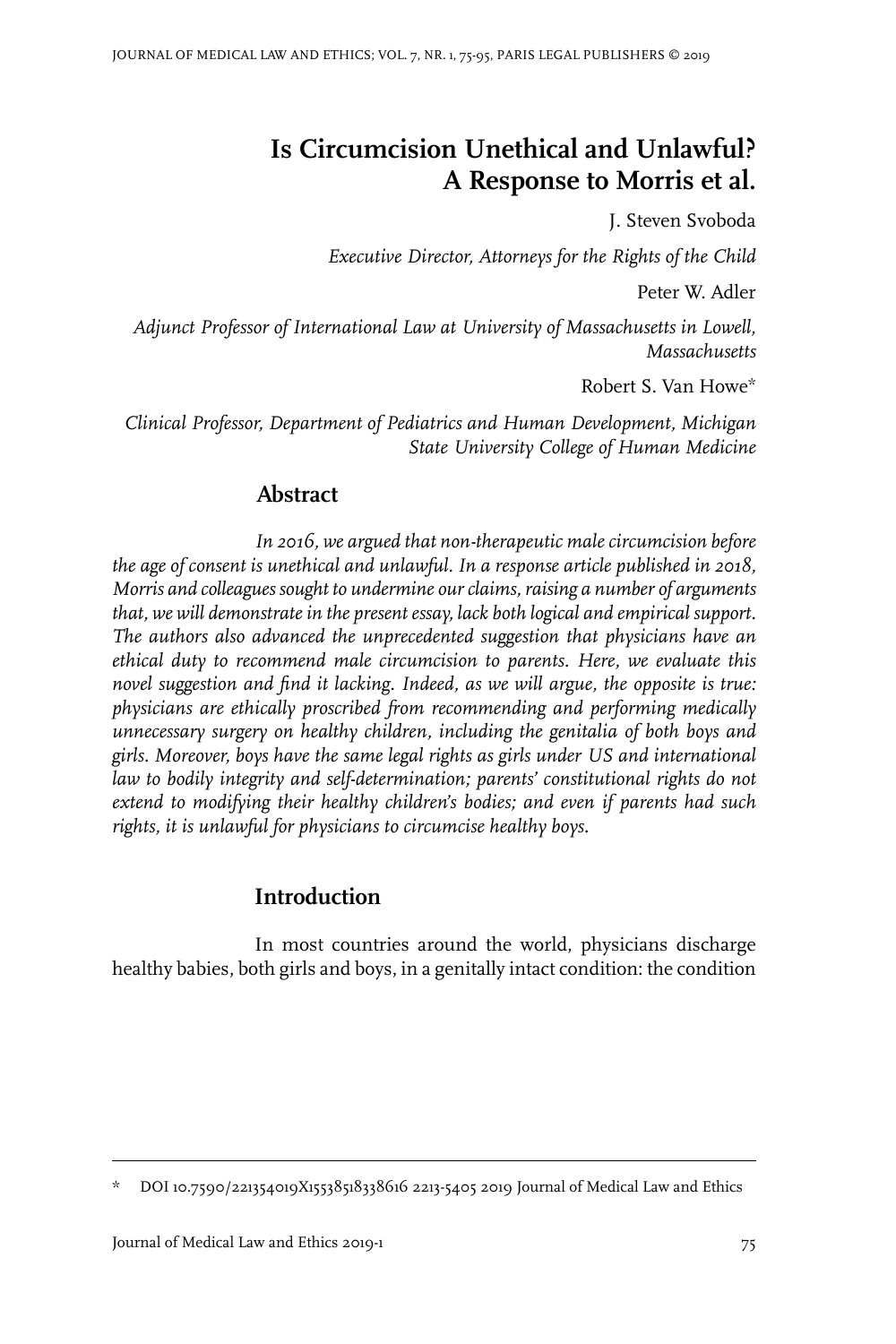# **Is Circumcision Unethical and Unlawful? A Response to Morris et al.**

J. Steven Svoboda

*Executive Director, Attorneys for the Rights of the Child*

Peter W. Adler

*Adjunct Professor of International Law at University of Massachusetts in Lowell, Massachusetts*

Robert S. Van Howe\*

*Clinical Professor, Department of Pediatrics and Human Development, Michigan State University College of Human Medicine*

# **Abstract**

*In 2016, we argued that non-therapeutic male circumcision before the age of consent is unethical and unlawful. In a response article published in 2018, Morris and colleagues sought to undermine ourclaims, raising a number of arguments that, we will demonstrate in the present essay, lack both logical and empirical support. The authors also advanced the unprecedented suggestion that physicians have an ethical duty to recommend male circumcision to parents. Here, we evaluate this novel suggestion and find it lacking. Indeed, as we will argue, the opposite is true: physicians are ethically proscribed from recommending and performing medically unnecessary surgery on healthy children, including the genitalia of both boys and girls. Moreover, boys have the same legal rights as girls under US and international law to bodily integrity and self-determination; parents' constitutional rights do not extend to modifying their healthy children's bodies; and even if parents had such rights, it is unlawful for physicians to circumcise healthy boys.*

# **Introduction**

In most countries around the world, physicians discharge healthy babies, both girls and boys, in a genitally intact condition: the condition

DOI 10.7590/221354019X15538518338616 2213-5405 2019 Journal of Medical Law and Ethics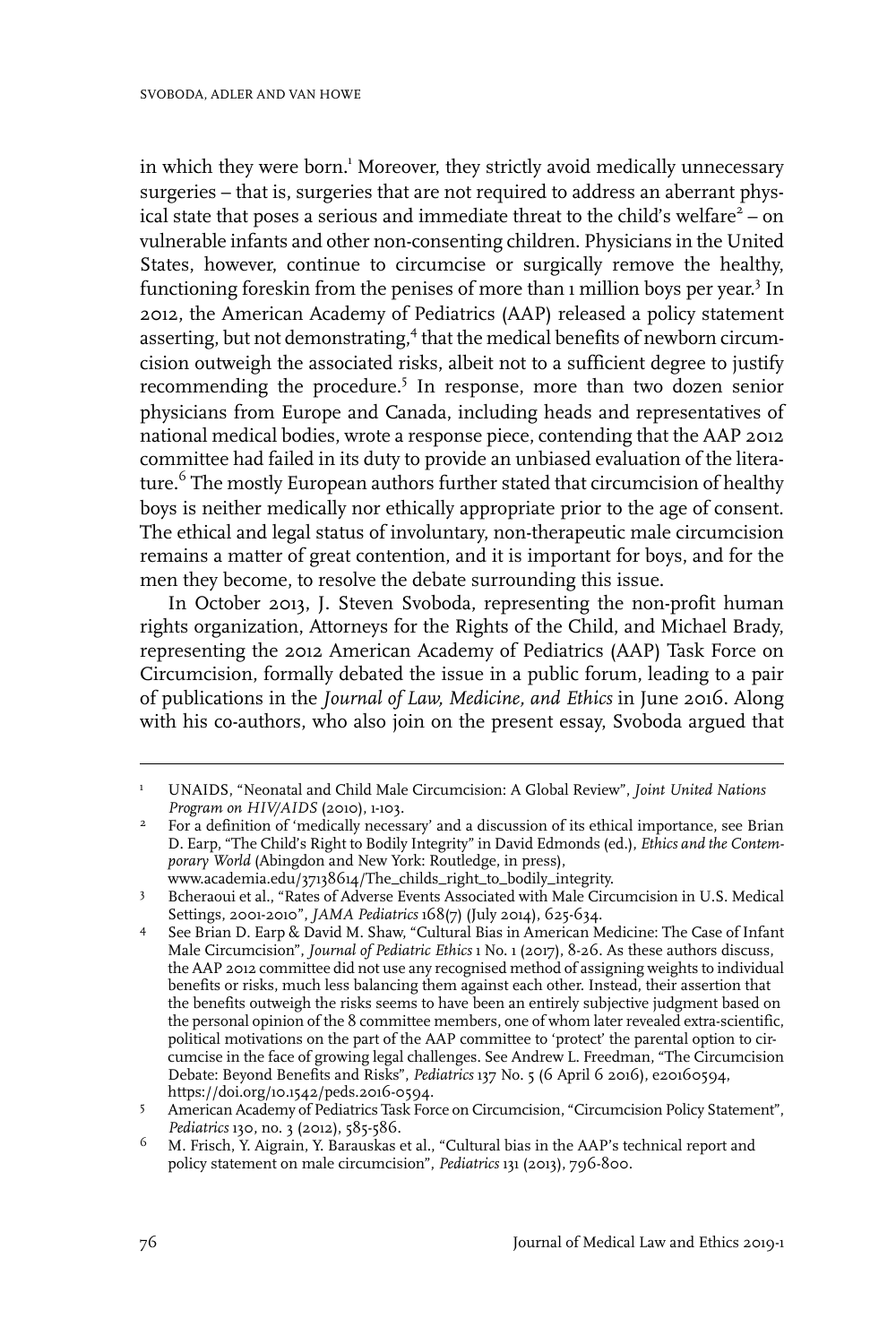in which they were born.<sup>1</sup> Moreover, they strictly avoid medically unnecessary surgeries – that is, surgeries that are not required to address an aberrant physical state that poses a serious and immediate threat to the child's welfare<sup>2</sup> – on vulnerable infants and other non-consenting children. Physicians in the United States, however, continue to circumcise or surgically remove the healthy, functioning foreskin from the penises of more than 1 million boys per year.<sup>3</sup> In 2012, the American Academy of Pediatrics (AAP) released a policy statement asserting, but not demonstrating,<sup>4</sup> that the medical benefits of newborn circumcision outweigh the associated risks, albeit not to a sufficient degree to justify recommending the procedure.<sup>5</sup> In response, more than two dozen senior physicians from Europe and Canada, including heads and representatives of national medical bodies, wrote a response piece, contending that the AAP 2012 committee had failed in its duty to provide an unbiased evaluation of the literature.<sup>6</sup> The mostly European authors further stated that circumcision of healthy boys is neither medically nor ethically appropriate prior to the age of consent. The ethical and legal status of involuntary, non-therapeutic male circumcision remains a matter of great contention, and it is important for boys, and for the men they become, to resolve the debate surrounding this issue.

In October 2013, J. Steven Svoboda, representing the non-profit human rights organization, Attorneys for the Rights of the Child, and Michael Brady, representing the 2012 American Academy of Pediatrics (AAP) Task Force on Circumcision, formally debated the issue in a public forum, leading to a pair of publications in the *Journal of Law, Medicine, and Ethics* in June 2016. Along with his co-authors, who also join on the present essay, Svoboda argued that

UNAIDS, "Neonatal and Child Male Circumcision: A Global Review", *Joint United Nations Program on HIV/AIDS* (2010), 1-103. 1

For a definition of 'medically necessary' and a discussion of its ethical importance, see Brian D. Earp, "The Child's Right to Bodily Integrity" in David Edmonds (ed.), *Ethics and the Contemporary World* (Abingdon and New York: Routledge, in press), 2 www.academia.edu/37138614/The\_childs\_right\_to\_bodily\_integrity.

Bcheraoui et al., "Rates of Adverse Events Associated with Male Circumcision in U.S. Medical Settings, 2001-2010", *JAMA Pediatrics* 168(7) (July 2014), 625-634. 3

See Brian D. Earp & David M. Shaw, "Cultural Bias in American Medicine: The Case of Infant Male Circumcision", *Journal of Pediatric Ethics* 1 No. 1 (2017), 8-26. As these authors discuss, 4 the AAP 2012 committee did not use any recognised method of assigning weights to individual benefits or risks, much less balancing them against each other. Instead, their assertion that the benefits outweigh the risks seems to have been an entirely subjective judgment based on the personal opinion of the 8 committee members, one of whom later revealed extra-scientific, political motivations on the part of the AAP committee to 'protect' the parental option to circumcise in the face of growing legal challenges. See Andrew L. Freedman, "The Circumcision Debate: Beyond Benefits and Risks", *Pediatrics* 137 No. 5 (6 April 6 2016), e20160594, https://doi.org/10.1542/peds.2016-0594.

American Academy of Pediatrics Task Force on Circumcision, "Circumcision Policy Statement", *Pediatrics* 130, no. 3 (2012), 585-586. 5

M. Frisch, Y. Aigrain, Y. Barauskas et al., "Cultural bias in the AAP's technical report and policy statement on male circumcision", *Pediatrics* 131 (2013), 796-800. 6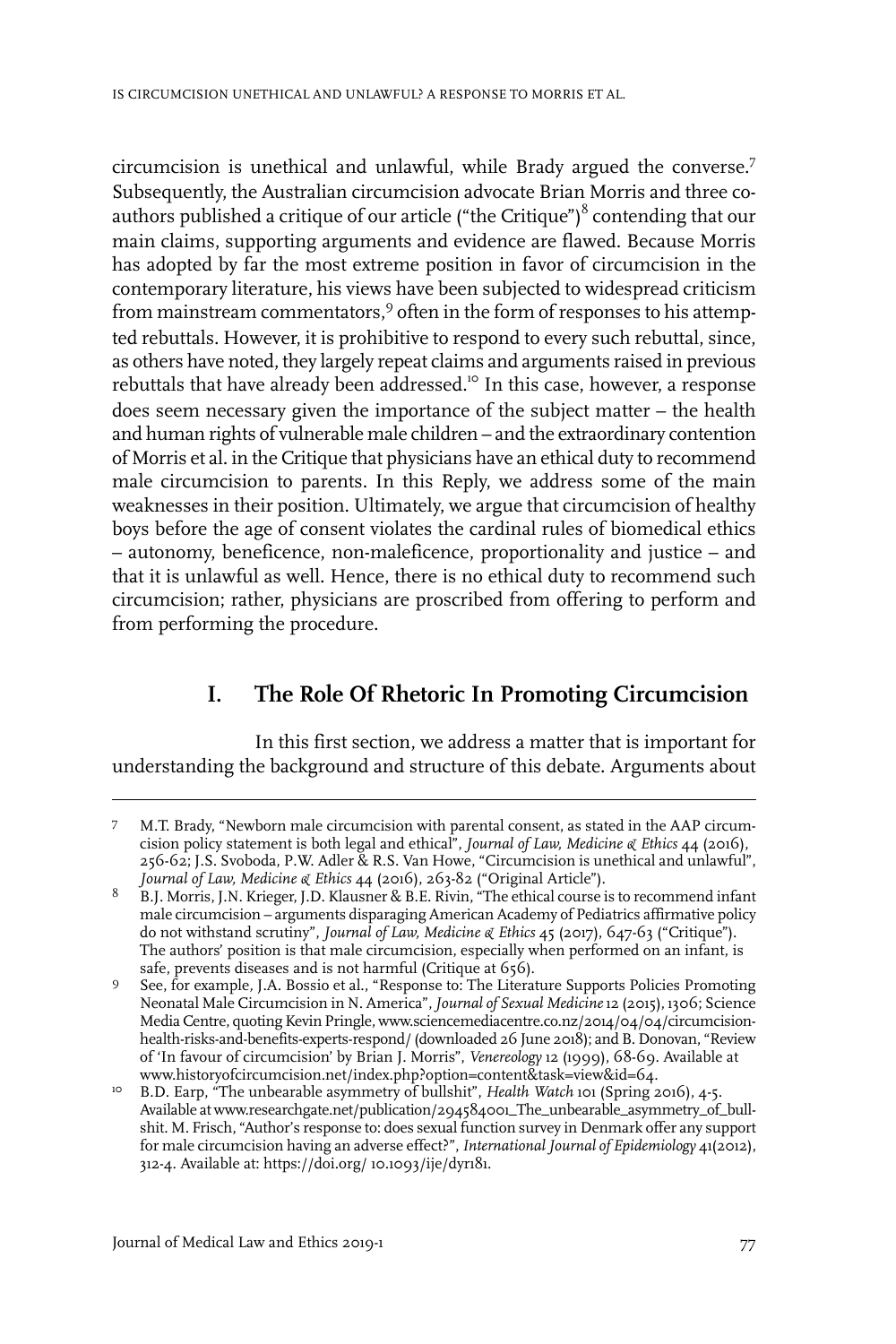circumcision is unethical and unlawful, while Brady argued the converse.7 Subsequently, the Australian circumcision advocate Brian Morris and three coauthors published a critique of our article ("the Critique") $\delta$  contending that our main claims, supporting arguments and evidence are flawed. Because Morris has adopted by far the most extreme position in favor of circumcision in the contemporary literature, his views have been subjected to widespread criticism from mainstream commentators,<sup>9</sup> often in the form of responses to his attempted rebuttals. However, it is prohibitive to respond to every such rebuttal, since, as others have noted, they largely repeat claims and arguments raised in previous rebuttals that have already been addressed.<sup>10</sup> In this case, however, a response does seem necessary given the importance of the subject matter – the health and human rights of vulnerable male children – and the extraordinary contention of Morris et al. in the Critique that physicians have an ethical duty to recommend male circumcision to parents. In this Reply, we address some of the main weaknesses in their position. Ultimately, we argue that circumcision of healthy boys before the age of consent violates the cardinal rules of biomedical ethics – autonomy, beneficence, non-maleficence, proportionality and justice – and that it is unlawful as well. Hence, there is no ethical duty to recommend such circumcision; rather, physicians are proscribed from offering to perform and from performing the procedure.

# **I. The Role Of Rhetoric In Promoting Circumcision**

In this first section, we address a matter that is important for understanding the background and structure of this debate. Arguments about

M.T. Brady, "Newborn male circumcision with parental consent, as stated in the AAP circumcision policy statement is both legal and ethical", *Journal of Law, Medicine & Ethics* 44 (2016), 7 256-62; J.S. Svoboda, P.W. Adler & R.S. Van Howe, "Circumcision is unethical and unlawful", *Journal of Law, Medicine & Ethics* 44 (2016), 263-82 ("Original Article").

B.J. Morris, J.N. Krieger, J.D. Klausner & B.E. Rivin, "The ethical course is to recommend infant male circumcision – arguments disparaging American Academy of Pediatrics affirmative policy 8 do not withstand scrutiny", *Journal of Law, Medicine & Ethics* 45 (2017), 647-63 ("Critique"). The authors' position is that male circumcision, especially when performed on an infant, is safe, prevents diseases and is not harmful (Critique at 656).

See, for example*,* J.A. Bossio et al., "Response to: The Literature Supports Policies Promoting Neonatal Male Circumcision in N. America",*Journal of Sexual Medicine*12 (2015), 1306; Science  $\overline{9}$ MediaCentre, quoting Kevin Pringle, www.sciencemediacentre.co.nz/2014/04/04/circumcisionhealth-risks-and-benefits-experts-respond/ (downloaded 26 June 2018); and B. Donovan, "Review of 'In favour of circumcision' by Brian J. Morris", *Venereology* 12 (1999), 68-69. Available at www.historyofcircumcision.net/index.php?option=content&task=view&id=64.

<sup>&</sup>lt;sup>10</sup> B.D. Earp, "The unbearable asymmetry of bullshit", *Health Watch* 101 (Spring 2016), 4-5. Available at www.researchgate.net/publication/294584001\_The\_unbearable\_asymmetry\_of\_bullshit. M. Frisch, "Author's response to: does sexual function survey in Denmark offer any support for male circumcision having an adverse effect?",*International Journal of Epidemiology* 41(2012), 312-4. Available at: https://doi.org/ 10.1093/ije/dyr181.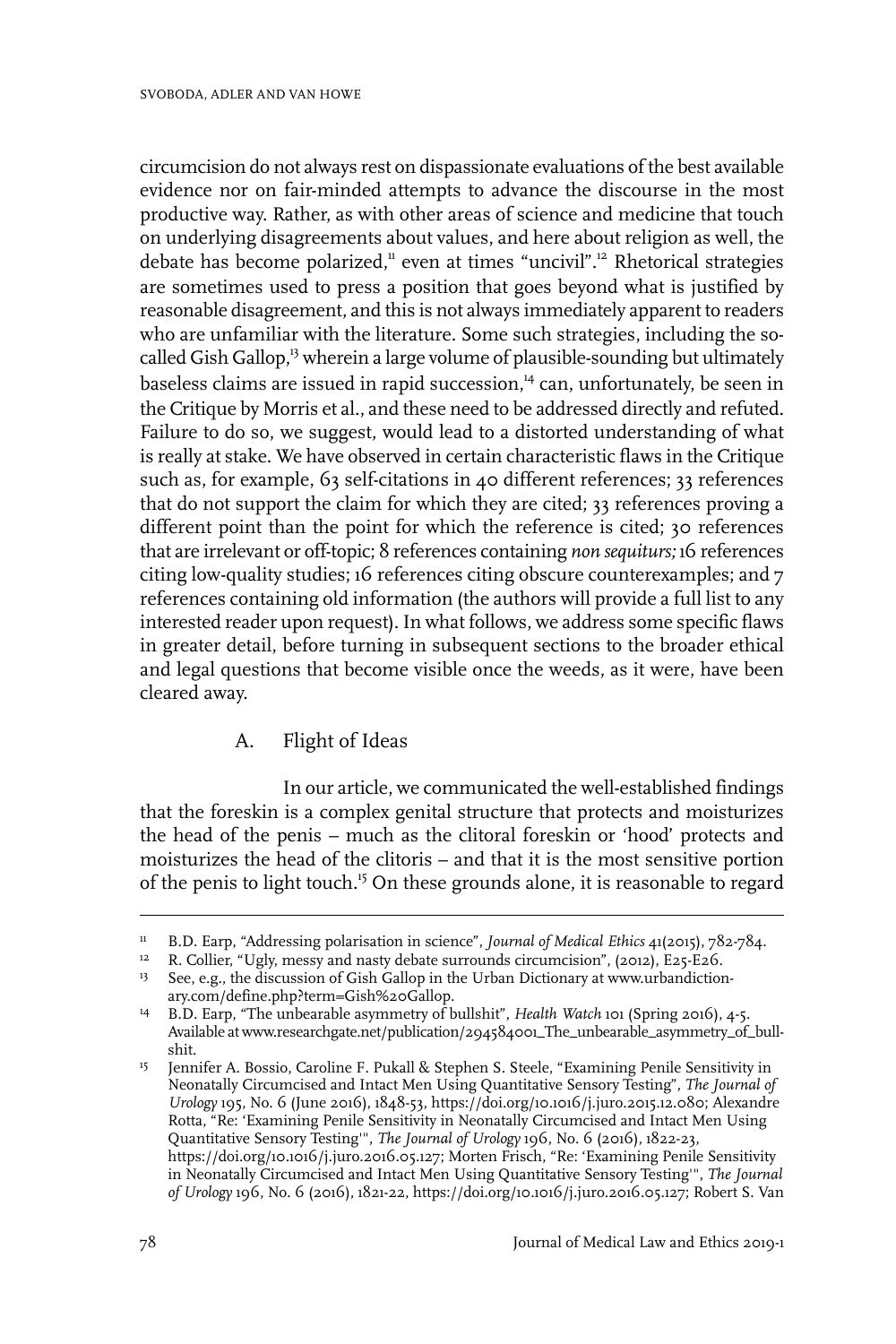circumcision do not always rest on dispassionate evaluations of the best available evidence nor on fair-minded attempts to advance the discourse in the most productive way. Rather, as with other areas of science and medicine that touch on underlying disagreements about values, and here about religion as well, the debate has become polarized,<sup>11</sup> even at times "uncivil".<sup>12</sup> Rhetorical strategies are sometimes used to press a position that goes beyond what is justified by reasonable disagreement, and this is not always immediately apparent to readers who are unfamiliar with the literature. Some such strategies, including the socalled Gish Gallop,<sup>13</sup> wherein a large volume of plausible-sounding but ultimately baseless claims are issued in rapid succession.<sup>14</sup> can, unfortunately, be seen in the Critique by Morris et al., and these need to be addressed directly and refuted. Failure to do so, we suggest, would lead to a distorted understanding of what is really at stake. We have observed in certain characteristic flaws in the Critique such as, for example, 63 self-citations in 40 different references; 33 references that do not support the claim for which they are cited; 33 references proving a different point than the point for which the reference is cited; 30 references that are irrelevant or off-topic; 8 references containing *non sequiturs;* 16 references citing low-quality studies; 16 references citing obscure counterexamples; and 7 references containing old information (the authors will provide a full list to any interested reader upon request). In what follows, we address some specific flaws in greater detail, before turning in subsequent sections to the broader ethical and legal questions that become visible once the weeds, as it were, have been cleared away.

#### A. Flight of Ideas

In our article, we communicated the well-established findings that the foreskin is a complex genital structure that protects and moisturizes the head of the penis – much as the clitoral foreskin or 'hood' protects and moisturizes the head of the clitoris – and that it is the most sensitive portion of the penis to light touch.<sup>15</sup> On these grounds alone, it is reasonable to regard

B.D. Earp, "Addressing polarisation in science", *Journal of Medical Ethics* 41(2015), 782-784. <sup>11</sup>

R. Collier, "Ugly, messy and nasty debate surrounds circumcision", (2012), E25-E26. <sup>12</sup>

<sup>&</sup>lt;sup>13</sup> See, e.g., the discussion of Gish Gallop in the Urban Dictionary at www.urbandictionary.com/define.php?term=Gish%20Gallop.

<sup>&</sup>lt;sup>14</sup> B.D. Earp, "The unbearable asymmetry of bullshit", *Health Watch* 101 (Spring 2016), 4-5. Available at www.researchgate.net/publication/294584001\_The\_unbearable\_asymmetry\_of\_bullshit.

Jennifer A. Bossio, Caroline F. Pukall & Stephen S. Steele, "Examining Penile Sensitivity in Neonatally Circumcised and Intact Men Using Quantitative Sensory Testing", *The Journal of* 15 *Urology* 195, No. 6 (June 2016), 1848-53, https://doi.org/10.1016/j.juro.2015.12.080; Alexandre Rotta, "Re: 'Examining Penile Sensitivity in Neonatally Circumcised and Intact Men Using Quantitative Sensory Testing'", *The Journal of Urology* 196, No. 6 (2016), 1822-23, https://doi.org/10.1016/j.juro.2016.05.127; Morten Frisch, "Re: 'Examining Penile Sensitivity in Neonatally Circumcised and Intact Men Using Quantitative Sensory Testing'", *The Journal of Urology* 196, No. 6 (2016), 1821-22, https://doi.org/10.1016/j.juro.2016.05.127; Robert S. Van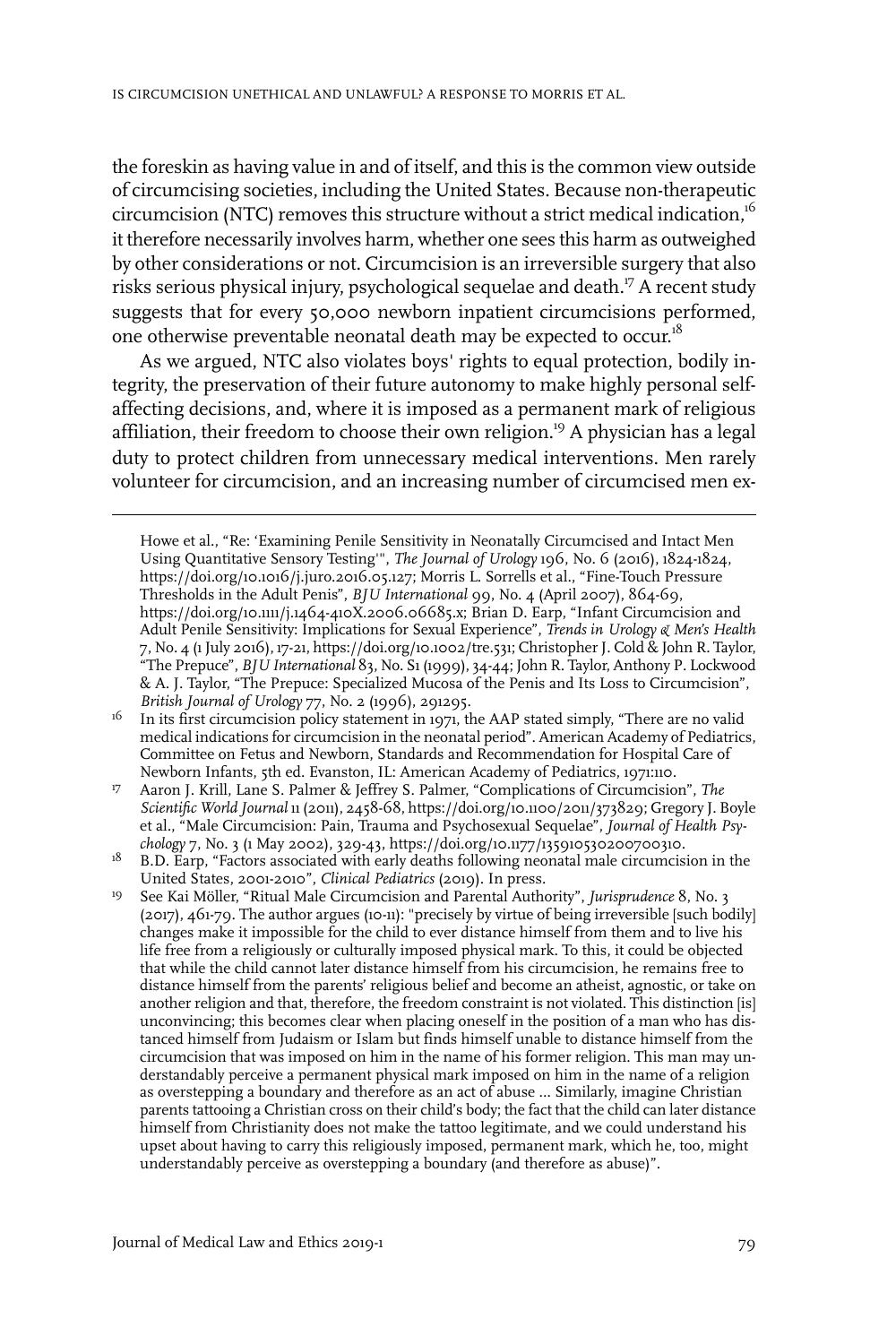the foreskin as having value in and of itself, and this is the common view outside of circumcising societies, including the United States. Because non-therapeutic circumcision (NTC) removes this structure without a strict medical indication,<sup>16</sup> it therefore necessarily involves harm, whether one sees this harm as outweighed by other considerations or not. Circumcision is an irreversible surgery that also risks serious physical injury, psychological sequelae and death.<sup>17</sup> A recent study suggests that for every 50,000 newborn inpatient circumcisions performed, one otherwise preventable neonatal death may be expected to occur.<sup>18</sup>

As we argued, NTC also violates boys' rights to equal protection, bodily integrity, the preservation of their future autonomy to make highly personal selfaffecting decisions, and, where it is imposed as a permanent mark of religious affiliation, their freedom to choose their own religion.<sup>19</sup> A physician has a legal duty to protect children from unnecessary medical interventions. Men rarely volunteer for circumcision, and an increasing number of circumcised men ex-

B.D. Earp, "Factors associated with early deaths following neonatal male circumcision in the United States, 2001-2010", *Clinical Pediatrics* (2019). In press. 18

See Kai Möller, "Ritual Male Circumcision and Parental Authority", *Jurisprudence* 8, No. 3 (2017), 461-79. The author argues (10-11): "precisely by virtue of being irreversible [such bodily]  $10<sup>-10</sup>$ changes make it impossible for the child to ever distance himself from them and to live his life free from a religiously or culturally imposed physical mark. To this, it could be objected that while the child cannot later distance himself from his circumcision, he remains free to distance himself from the parents' religious belief and become an atheist, agnostic, or take on another religion and that, therefore, the freedom constraint is not violated. This distinction [is] unconvincing; this becomes clear when placing oneself in the position of a man who has distanced himself from Judaism or Islam but finds himself unable to distance himself from the circumcision that was imposed on him in the name of his former religion. This man may understandably perceive a permanent physical mark imposed on him in the name of a religion as overstepping a boundary and therefore as an act of abuse … Similarly, imagine Christian parents tattooing a Christian cross on their child's body; the fact that the child can later distance himself from Christianity does not make the tattoo legitimate, and we could understand his upset about having to carry this religiously imposed, permanent mark, which he, too, might understandably perceive as overstepping a boundary (and therefore as abuse)".

Howe et al., "Re: 'Examining Penile Sensitivity in Neonatally Circumcised and Intact Men Using Quantitative Sensory Testing'", *The Journal of Urology* 196, No. 6 (2016), 1824-1824, https://doi.org/10.1016/j.juro.2016.05.127; Morris L. Sorrells et al., "Fine-Touch Pressure Thresholds in the Adult Penis", *BJU International* 99, No. 4 (April 2007), 864-69, https://doi.org/10.1111/j.1464-410X.2006.06685.x; Brian D. Earp, "Infant Circumcision and Adult Penile Sensitivity: Implications for Sexual Experience", *Trends in Urology & Men's Health* 7, No. 4 (1 July 2016), 17-21, https://doi.org/10.1002/tre.531; Christopher J. Cold & John R. Taylor, "The Prepuce", *BJU International* 83, No. S1 (1999), 34-44; John R. Taylor, Anthony P. Lockwood & A. J. Taylor, "The Prepuce: Specialized Mucosa of the Penis and Its Loss to Circumcision", *British Journal of Urology* 77, No. 2 (1996), 291295.

In its first circumcision policy statement in 1971, the AAP stated simply, "There are no valid medical indications for circumcision in the neonatal period". American Academy of Pediatrics, 16 Committee on Fetus and Newborn, Standards and Recommendation for Hospital Care of Newborn Infants, 5th ed. Evanston, IL: American Academy of Pediatrics, 1971:110.

Aaron J. Krill, Lane S. Palmer & Jeffrey S. Palmer, "Complications of Circumcision", *The Scientific World Journal* 11 (2011), 2458-68, https://doi.org/10.1100/2011/373829; Gregory J. Boyle 17 et al., "Male Circumcision: Pain, Trauma and Psychosexual Sequelae", *Journal of Health Psychology* 7, No. 3 (1 May 2002), 329-43, https://doi.org/10.1177/135910530200700310.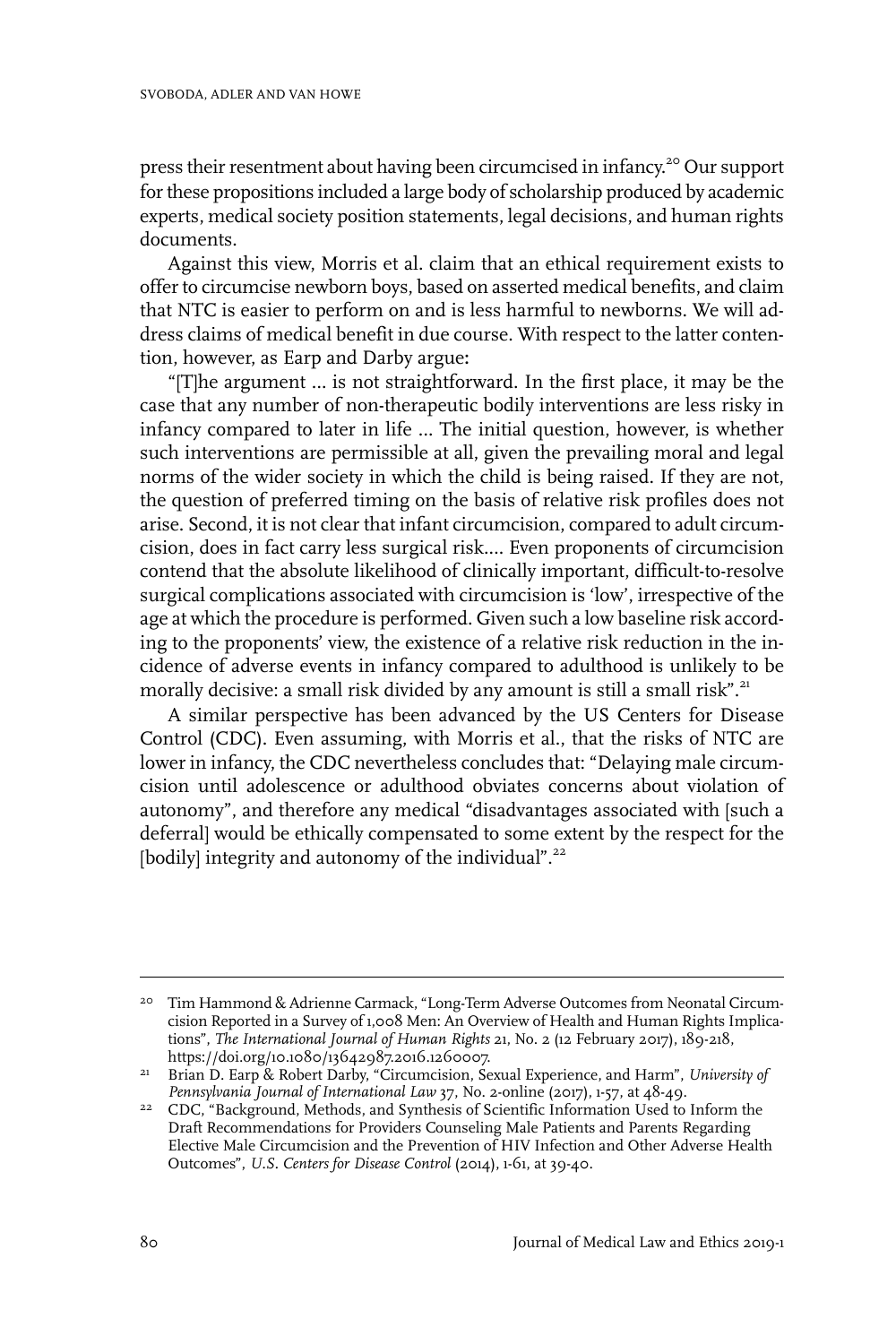press their resentment about having been circumcised in infancy.<sup>20</sup> Our support forthese propositions included a large body of scholarship produced by academic experts, medical society position statements, legal decisions, and human rights documents.

Against this view, Morris et al. claim that an ethical requirement exists to offerto circumcise newborn boys, based on asserted medical benefits, and claim that NTC is easier to perform on and is less harmful to newborns. We will address claims of medical benefit in due course. With respect to the latter contention, however, as Earp and Darby argue**:**

"[T]he argument … is not straightforward. In the first place, it may be the case that any number of non-therapeutic bodily interventions are less risky in infancy compared to later in life … The initial question, however, is whether such interventions are permissible at all, given the prevailing moral and legal norms of the wider society in which the child is being raised. If they are not, the question of preferred timing on the basis of relative risk profiles does not arise. Second, it is not clear that infant circumcision, compared to adult circumcision, does in fact carry less surgical risk.… Even proponents of circumcision contend that the absolute likelihood of clinically important, difficult-to-resolve surgical complications associated with circumcision is 'low', irrespective of the age at which the procedure is performed. Given such a low baseline risk according to the proponents' view, the existence of a relative risk reduction in the incidence of adverse events in infancy compared to adulthood is unlikely to be morally decisive: a small risk divided by any amount is still a small risk".<sup>21</sup>

A similar perspective has been advanced by the US Centers for Disease Control (CDC). Even assuming, with Morris et al., that the risks of NTC are lower in infancy, the CDC nevertheless concludes that: "Delaying male circumcision until adolescence or adulthood obviates concerns about violation of autonomy", and therefore any medical "disadvantages associated with [such a deferral] would be ethically compensated to some extent by the respect for the [bodily] integrity and autonomy of the individual".<sup>22</sup>

<sup>&</sup>lt;sup>20</sup> Tim Hammond & Adrienne Carmack, "Long-Term Adverse Outcomes from Neonatal Circumcision Reported in a Survey of 1,008 Men: An Overview of Health and Human Rights Implications", *The International Journal of Human Rights* 21, No. 2 (12 February 2017), 189-218, https://doi.org/10.1080/13642987.2016.1260007.

Brian D. Earp & Robert Darby, "Circumcision, Sexual Experience, and Harm", *University of* 21 *Pennsylvania Journal of International Law* 37, No. 2-online (2017), 1-57, at 48-49.

<sup>&</sup>lt;sup>22</sup> CDC, "Background, Methods, and Synthesis of Scientific Information Used to Inform the Draft Recommendations for Providers Counseling Male Patients and Parents Regarding Elective Male Circumcision and the Prevention of HIV Infection and Other Adverse Health Outcomes", *U.S. Centers for Disease Control* (2014), 1-61, at 39-40.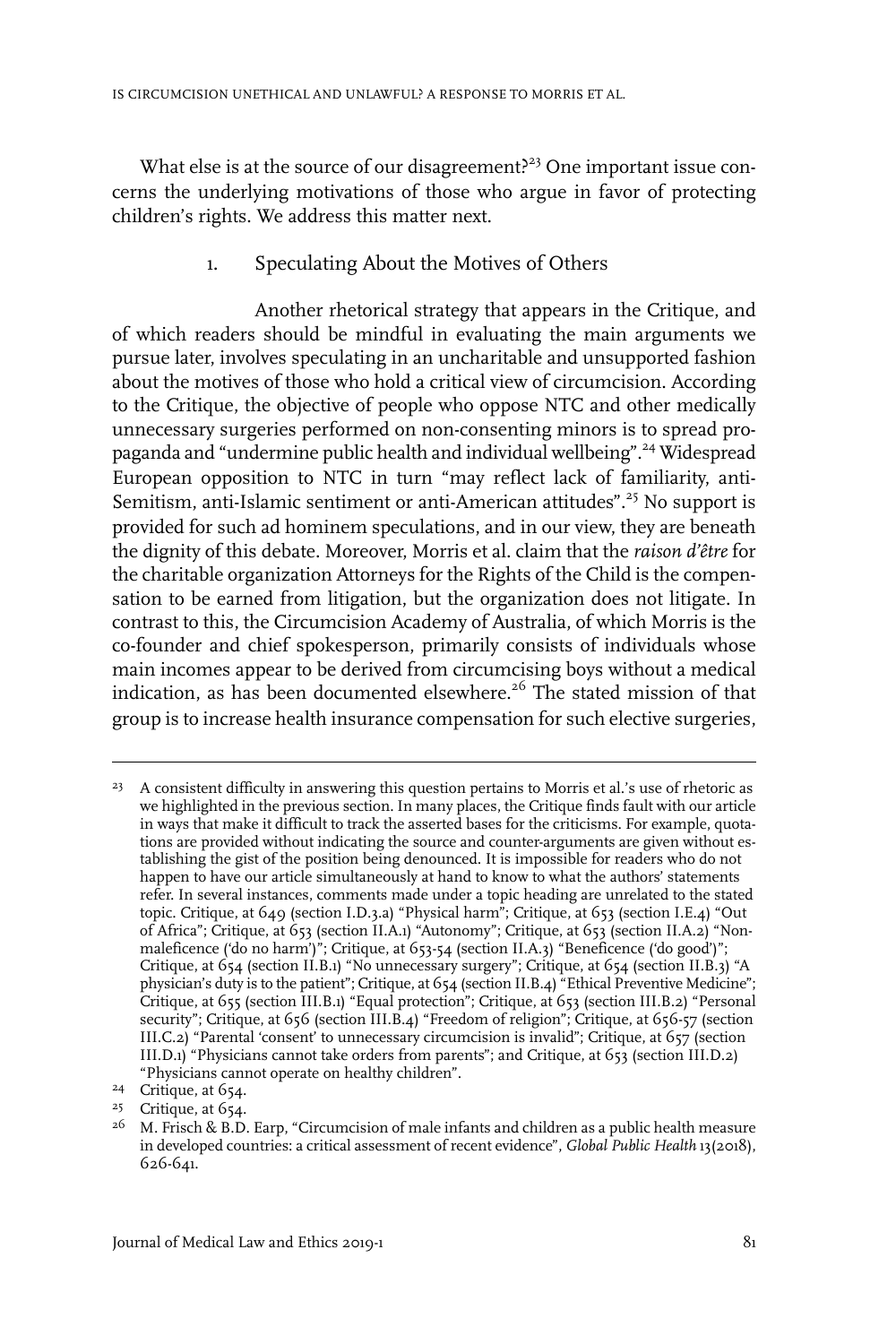What else is at the source of our disagreement?<sup>23</sup> One important issue concerns the underlying motivations of those who argue in favor of protecting children's rights. We address this matter next.

## 1. Speculating About the Motives of Others

Another rhetorical strategy that appears in the Critique, and of which readers should be mindful in evaluating the main arguments we pursue later, involves speculating in an uncharitable and unsupported fashion about the motives of those who hold a critical view of circumcision. According to the Critique, the objective of people who oppose NTC and other medically unnecessary surgeries performed on non-consenting minors is to spread propaganda and "undermine public health and individual wellbeing".<sup>24</sup> Widespread European opposition to NTC in turn "may reflect lack of familiarity, anti-Semitism, anti-Islamic sentiment or anti-American attitudes".<sup>25</sup> No support is provided for such ad hominem speculations, and in our view, they are beneath the dignity of this debate. Moreover, Morris et al. claim that the *raison d'être* for the charitable organization Attorneys for the Rights of the Child is the compensation to be earned from litigation, but the organization does not litigate. In contrast to this, the Circumcision Academy of Australia, of which Morris is the co-founder and chief spokesperson, primarily consists of individuals whose main incomes appear to be derived from circumcising boys without a medical indication, as has been documented elsewhere.<sup>26</sup> The stated mission of that group is to increase health insurance compensation for such elective surgeries,

<sup>24</sup> Critique, at 654.

<sup>&</sup>lt;sup>23</sup> A consistent difficulty in answering this question pertains to Morris et al.'s use of rhetoric as we highlighted in the previous section. In many places, the Critique finds fault with our article in ways that make it difficult to track the asserted bases for the criticisms. For example, quotations are provided without indicating the source and counter-arguments are given without establishing the gist of the position being denounced. It is impossible for readers who do not happen to have our article simultaneously at hand to know to what the authors' statements refer. In several instances, comments made under a topic heading are unrelated to the stated topic. Critique, at 649 (section I.D.3.a) "Physical harm"; Critique, at 653 (section I.E.4) "Out of Africa"; Critique, at 653 (section II.A.1) "Autonomy"; Critique, at 653 (section II.A.2) "Nonmaleficence ('do no harm')"; Critique, at 653-54 (section II.A.3) "Beneficence ('do good')"; Critique, at 654 (section II.B.1) "No unnecessary surgery"; Critique, at 654 (section II.B.3) "A physician's duty is to the patient"; Critique, at 654 (section II.B.4) "Ethical Preventive Medicine"; Critique, at 655 (section III.B.1) "Equal protection"; Critique, at 653 (section III.B.2) "Personal security"; Critique, at 656 (section III.B.4) "Freedom of religion"; Critique, at 656-57 (section III.C.2) "Parental 'consent' to unnecessary circumcision is invalid"; Critique, at 657 (section III.D.1) "Physicians cannot take orders from parents"; and Critique, at 653 (section III.D.2) "Physicians cannot operate on healthy children".

<sup>&</sup>lt;sup>25</sup> Critique, at 654.

 $^{26}$  M. Frisch & B.D. Earp, "Circumcision of male infants and children as a public health measure in developed countries: a critical assessment of recent evidence", *Global Public Health* 13(2018), 626-641.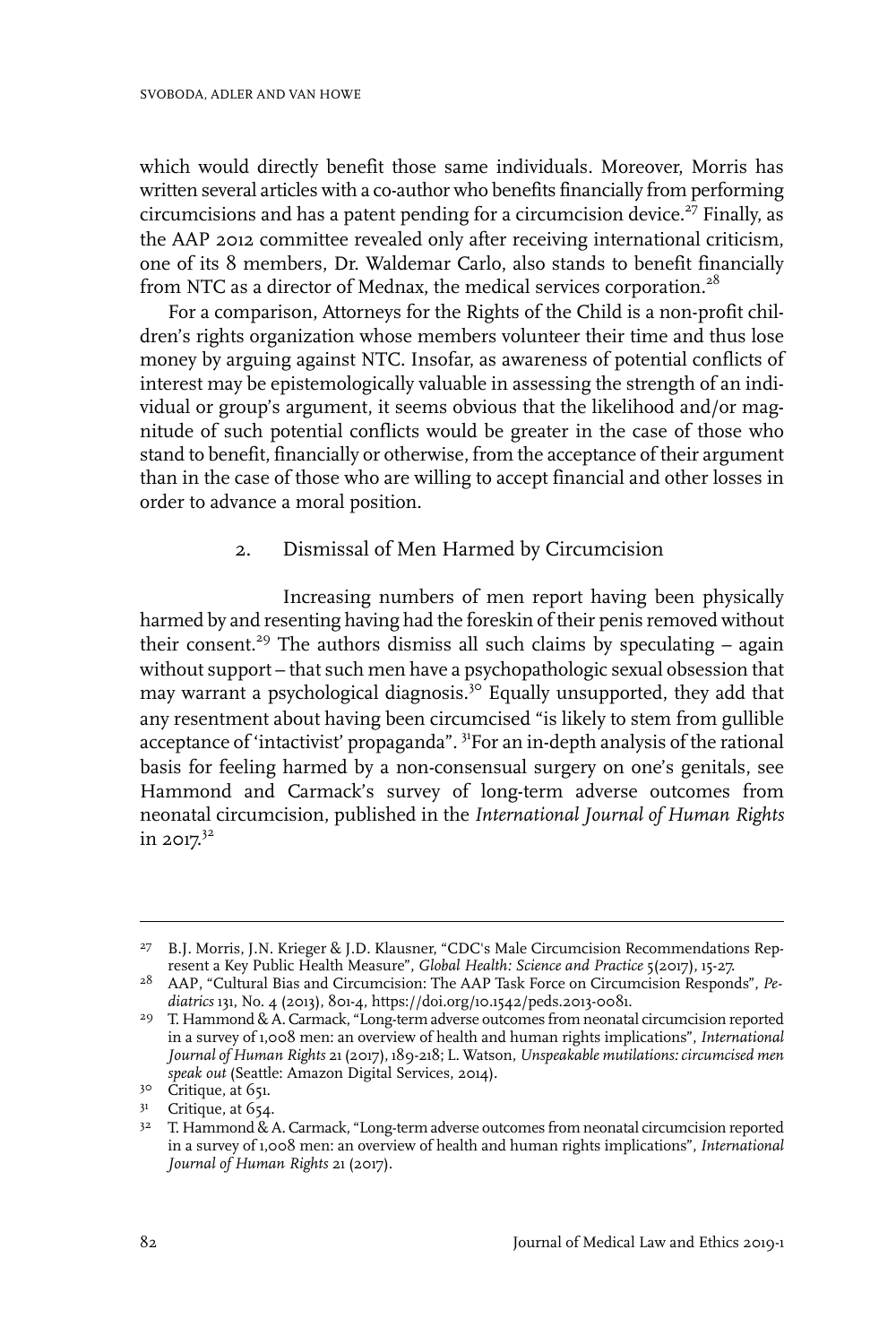which would directly benefit those same individuals. Moreover, Morris has written several articles with a co-author who benefits financially from performing circumcisions and has a patent pending for a circumcision device.<sup>27</sup> Finally, as the AAP 2012 committee revealed only after receiving international criticism, one of its 8 members, Dr. Waldemar Carlo, also stands to benefit financially from NTC as a director of Mednax, the medical services corporation.<sup>28</sup>

For a comparison, Attorneys for the Rights of the Child is a non-profit children's rights organization whose members volunteer their time and thus lose money by arguing against NTC. Insofar, as awareness of potential conflicts of interest may be epistemologically valuable in assessing the strength of an individual or group's argument, it seems obvious that the likelihood and/or magnitude of such potential conflicts would be greater in the case of those who stand to benefit, financially or otherwise, from the acceptance of their argument than in the case of those who are willing to accept financial and other losses in order to advance a moral position.

#### 2. Dismissal of Men Harmed by Circumcision

Increasing numbers of men report having been physically harmed by and resenting having had the foreskin of their penis removed without their consent.<sup>29</sup> The authors dismiss all such claims by speculating  $-$  again without support – that such men have a psychopathologic sexual obsession that may warrant a psychological diagnosis.<sup>30</sup> Equally unsupported, they add that any resentment about having been circumcised "is likely to stem from gullible acceptance of 'intactivist' propaganda". <sup>31</sup>For an in-depth analysis of the rational basis for feeling harmed by a non-consensual surgery on one's genitals, see Hammond and Carmack's survey of long-term adverse outcomes from neonatal circumcision, published in the *International Journal of Human Rights* in 2017. 32

B.J. Morris, J.N. Krieger & J.D. Klausner, "CDC's Male Circumcision Recommendations Rep-27 resent a Key Public Health Measure", *Global Health: Science and Practice* 5(2017), 15-27.

AAP, "Cultural Bias and Circumcision: The AAP Task Force on Circumcision Responds", *Pe-*28 *diatrics* 131, No. 4 (2013), 801-4, https://doi.org/10.1542/peds.2013-0081.

<sup>&</sup>lt;sup>29</sup> T. Hammond & A. Carmack, "Long-term adverse outcomes from neonatal circumcision reported in a survey of 1,008 men: an overview of health and human rights implications", *International Journal of Human Rights* 21 (2017), 189-218; L. Watson, *Unspeakable mutilations: circumcised men speak out* (Seattle: Amazon Digital Services, 2014).

<sup>30</sup> Critique, at 651.

 $3<sup>1</sup>$  Critique, at 654.

 $3^2$  T. Hammond & A. Carmack, "Long-term adverse outcomes from neonatal circumcision reported in a survey of 1,008 men: an overview of health and human rights implications", *International Journal of Human Rights* 21 (2017).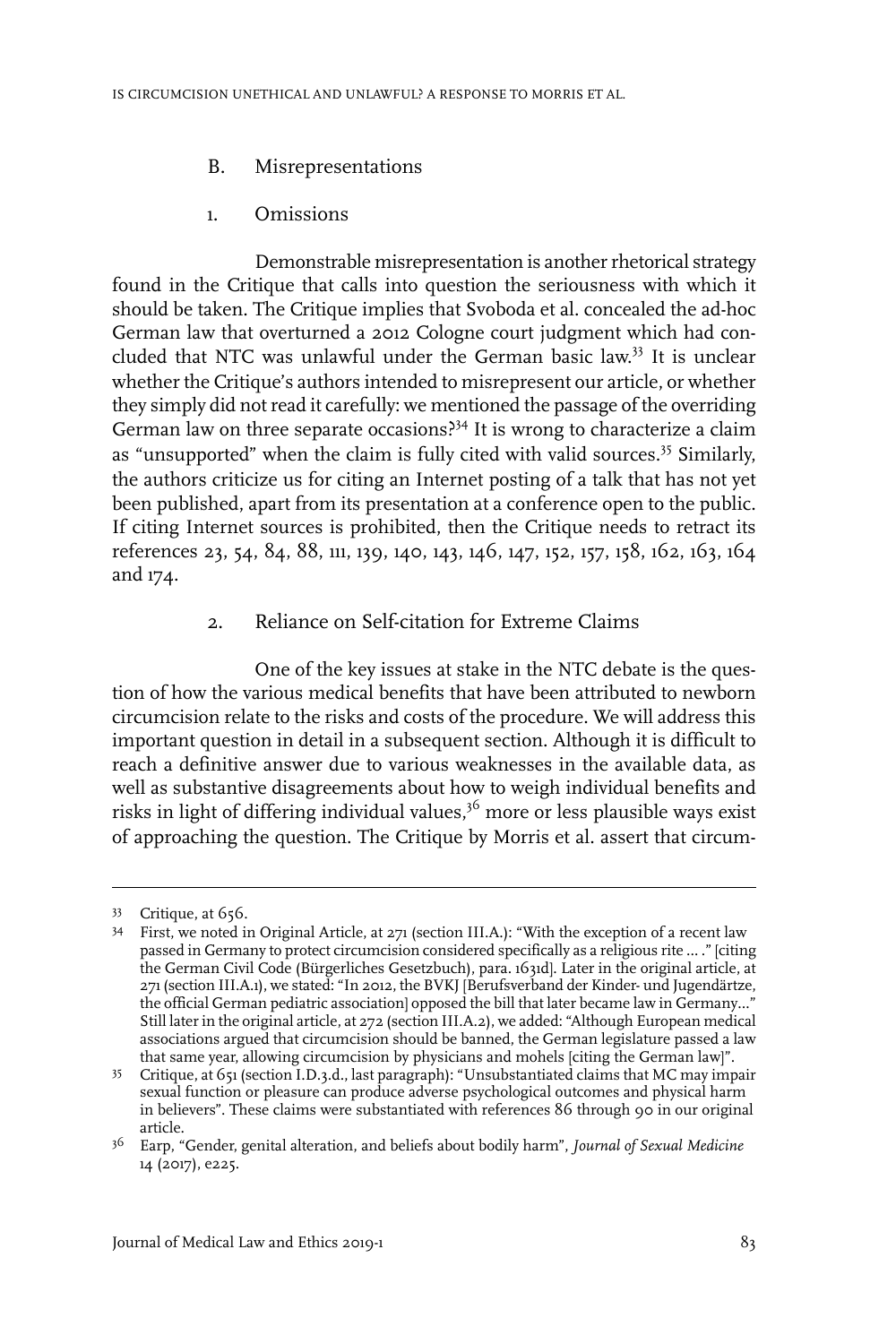- B. Misrepresentations
- 1. Omissions

Demonstrable misrepresentation is another rhetorical strategy found in the Critique that calls into question the seriousness with which it should be taken. The Critique implies that Svoboda et al. concealed the ad-hoc German law that overturned a 2012 Cologne court judgment which had concluded that NTC was unlawful under the German basic law. <sup>33</sup> It is unclear whether the Critique's authors intended to misrepresent our article, or whether they simply did not read it carefully: we mentioned the passage of the overriding German law on three separate occasions?<sup>34</sup> It is wrong to characterize a claim as "unsupported" when the claim is fully cited with valid sources.<sup>35</sup> Similarly, the authors criticize us for citing an Internet posting of a talk that has not yet been published, apart from its presentation at a conference open to the public. If citing Internet sources is prohibited, then the Critique needs to retract its references 23, 54, 84, 88, 111, 139, 140, 143, 146, 147, 152, 157, 158, 162, 163, 164 and 174.

## 2. Reliance on Self-citation for Extreme Claims

One of the key issues at stake in the NTC debate is the question of how the various medical benefits that have been attributed to newborn circumcision relate to the risks and costs of the procedure. We will address this important question in detail in a subsequent section. Although it is difficult to reach a definitive answer due to various weaknesses in the available data, as well as substantive disagreements about how to weigh individual benefits and risks in light of differing individual values,<sup>36</sup> more or less plausible ways exist of approaching the question. The Critique by Morris et al. assert that circum-

<sup>33</sup> Critique, at 656.

<sup>&</sup>lt;sup>34</sup> First, we noted in Original Article, at 271 (section III.A.): "With the exception of a recent law passed in Germany to protect circumcision considered specifically as a religious rite … ." [citing the German Civil Code (Bürgerliches Gesetzbuch), para. 1631d]. Later in the original article, at 271 (section III.A.1), we stated: "In 2012, the BVKJ [Berufsverband der Kinder- und Jugendärtze, the official German pediatric association] opposed the bill that later became law in Germany...' Still later in the original article, at 272 (section III.A.2), we added: "Although European medical associations argued that circumcision should be banned, the German legislature passed a law that same year, allowing circumcision by physicians and mohels [citing the German law]".

Critique, at 651 (section I.D.3.d., last paragraph): "Unsubstantiated claims that MC may impair 35 sexual function or pleasure can produce adverse psychological outcomes and physical harm in believers". These claims were substantiated with references 86 through 90 in our original article.

Earp, "Gender, genital alteration, and beliefs about bodily harm", *Journal of Sexual Medicine* 36 14 (2017), e225.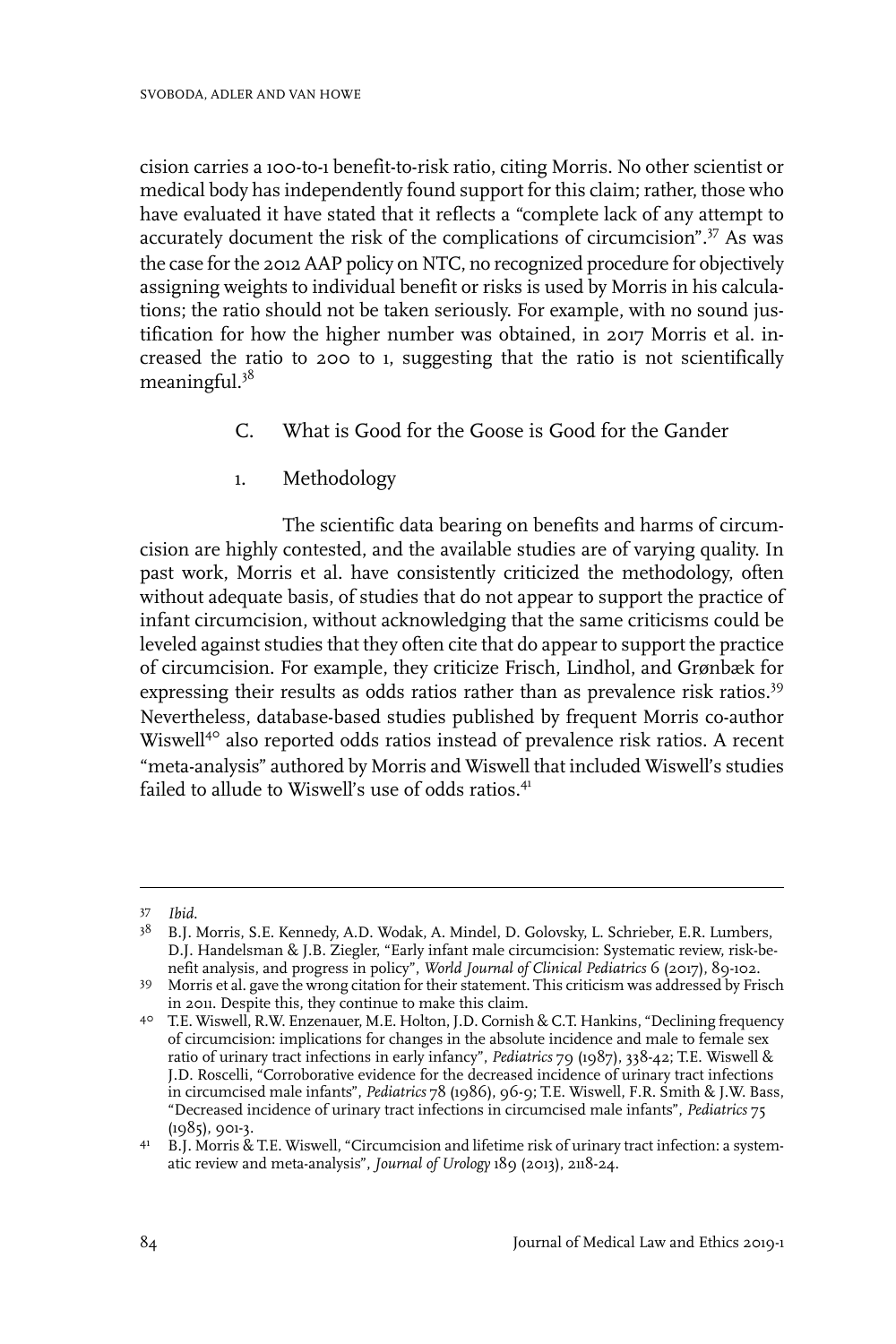cision carries a 100-to-1 benefit-to-risk ratio, citing Morris. No other scientist or medical body has independently found support for this claim; rather, those who have evaluated it have stated that it reflects a "complete lack of any attempt to accurately document the risk of the complications of circumcision".<sup>37</sup> As was the case for the 2012 AAP policy on NTC, no recognized procedure for objectively assigning weights to individual benefit or risks is used by Morris in his calculations; the ratio should not be taken seriously. For example, with no sound justification for how the higher number was obtained, in 2017 Morris et al. increased the ratio to 200 to 1, suggesting that the ratio is not scientifically meaningful.38

- C. What is Good for the Goose is Good for the Gander
- 1. Methodology

The scientific data bearing on benefits and harms of circumcision are highly contested, and the available studies are of varying quality. In past work, Morris et al. have consistently criticized the methodology, often without adequate basis, of studies that do not appear to support the practice of infant circumcision, without acknowledging that the same criticisms could be leveled against studies that they often cite that do appear to support the practice of circumcision. For example, they criticize Frisch, Lindhol, and Grønbæk for expressing their results as odds ratios rather than as prevalence risk ratios.<sup>39</sup> Nevertheless, database-based studies published by frequent Morris co-author Wiswell<sup>40</sup> also reported odds ratios instead of prevalence risk ratios. A recent "meta-analysis" authored by Morris and Wiswell that included Wiswell's studies failed to allude to Wiswell's use of odds ratios.<sup>41</sup>

*Ibid.* <sup>37</sup>

<sup>&</sup>lt;sup>38</sup> B.J. Morris, S.E. Kennedy, A.D. Wodak, A. Mindel, D. Golovsky, L. Schrieber, E.R. Lumbers, D.J. Handelsman & J.B. Ziegler, "Early infant male circumcision: Systematic review, risk-benefit analysis, and progress in policy", *World Journal of Clinical Pediatrics* 6 (2017), 89-102.

Morris et al. gave the wrong citation for their statement. This criticism was addressed by Frisch 39 in 2011. Despite this, they continue to make this claim.

T.E. Wiswell, R.W. Enzenauer, M.E. Holton, J.D. Cornish & C.T. Hankins, "Declining frequency 40 of circumcision: implications for changes in the absolute incidence and male to female sex ratio of urinary tract infections in early infancy", *Pediatrics* 79 (1987), 338-42; T.E. Wiswell & J.D. Roscelli, "Corroborative evidence for the decreased incidence of urinary tract infections in circumcised male infants", *Pediatrics* 78 (1986), 96-9; T.E. Wiswell, F.R. Smith & J.W. Bass, "Decreased incidence of urinary tract infections in circumcised male infants", *Pediatrics* 75  $(1985)$ , 901-3.

B.J. Morris & T.E. Wiswell, "Circumcision and lifetime risk of urinary tract infection: a system-41 atic review and meta-analysis", *Journal of Urology* 189 (2013), 2118-24.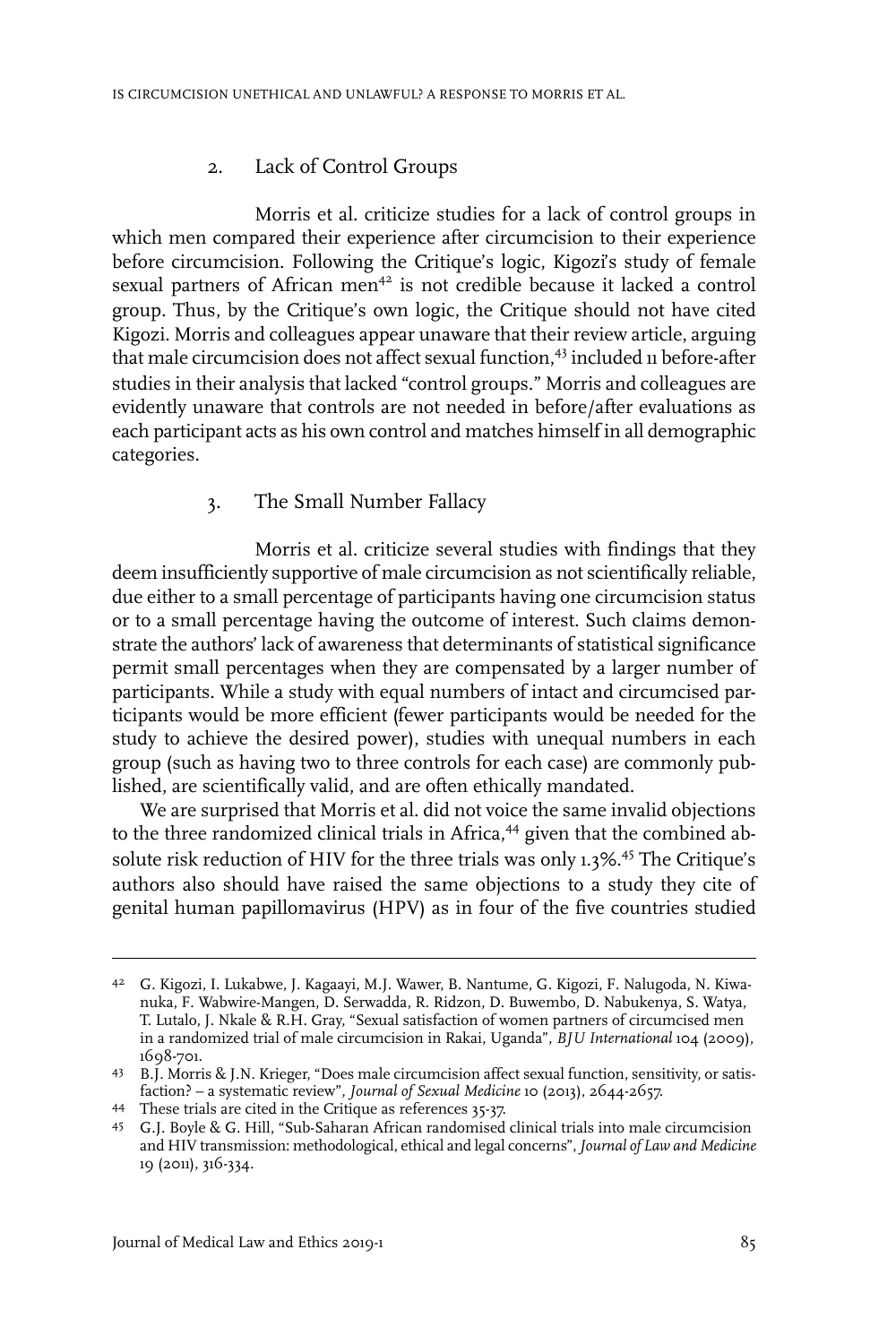#### 2. Lack of Control Groups

Morris et al. criticize studies for a lack of control groups in which men compared their experience after circumcision to their experience before circumcision. Following the Critique's logic, Kigozi's study of female sexual partners of African men<sup>42</sup> is not credible because it lacked a control group. Thus, by the Critique's own logic, the Critique should not have cited Kigozi. Morris and colleagues appear unaware that their review article, arguing that male circumcision does not affect sexual function,<sup>43</sup> included 11 before-after studies in their analysis that lacked "control groups." Morris and colleagues are evidently unaware that controls are not needed in before/after evaluations as each participant acts as his own control and matches himself in all demographic categories.

### 3. The Small Number Fallacy

Morris et al. criticize several studies with findings that they deem insufficiently supportive of male circumcision as not scientifically reliable, due either to a small percentage of participants having one circumcision status or to a small percentage having the outcome of interest. Such claims demonstrate the authors' lack of awareness that determinants of statistical significance permit small percentages when they are compensated by a larger number of participants. While a study with equal numbers of intact and circumcised participants would be more efficient (fewer participants would be needed for the study to achieve the desired power), studies with unequal numbers in each group (such as having two to three controls for each case) are commonly published, are scientifically valid, and are often ethically mandated.

We are surprised that Morris et al. did not voice the same invalid objections to the three randomized clinical trials in Africa,<sup>44</sup> given that the combined absolute risk reduction of HIV for the three trials was only 1.3%.<sup>45</sup> The Critique's authors also should have raised the same objections to a study they cite of genital human papillomavirus (HPV) as in four of the five countries studied

G. Kigozi, I. Lukabwe, J. Kagaayi, M.J. Wawer, B. Nantume, G. Kigozi, F. Nalugoda, N. Kiwa-42 nuka, F. Wabwire-Mangen, D. Serwadda, R. Ridzon, D. Buwembo, D. Nabukenya, S. Watya, T. Lutalo, J. Nkale & R.H. Gray, "Sexual satisfaction of women partners of circumcised men in a randomized trial of male circumcision in Rakai, Uganda", *BJU International* 104 (2009), 1698-701.

B.J. Morris & J.N. Krieger, "Does male circumcision affect sexual function, sensitivity, or satis-43 faction? – a systematic review", *Journal of Sexual Medicine* 10 (2013), 2644-2657.

<sup>44</sup> These trials are cited in the Critique as references 35-37.

G.J. Boyle & G. Hill, "Sub-Saharan African randomised clinical trials into male circumcision 45 and HIV transmission: methodological, ethical and legal concerns",*Journal of Law and Medicine* 19 (2011), 316-334.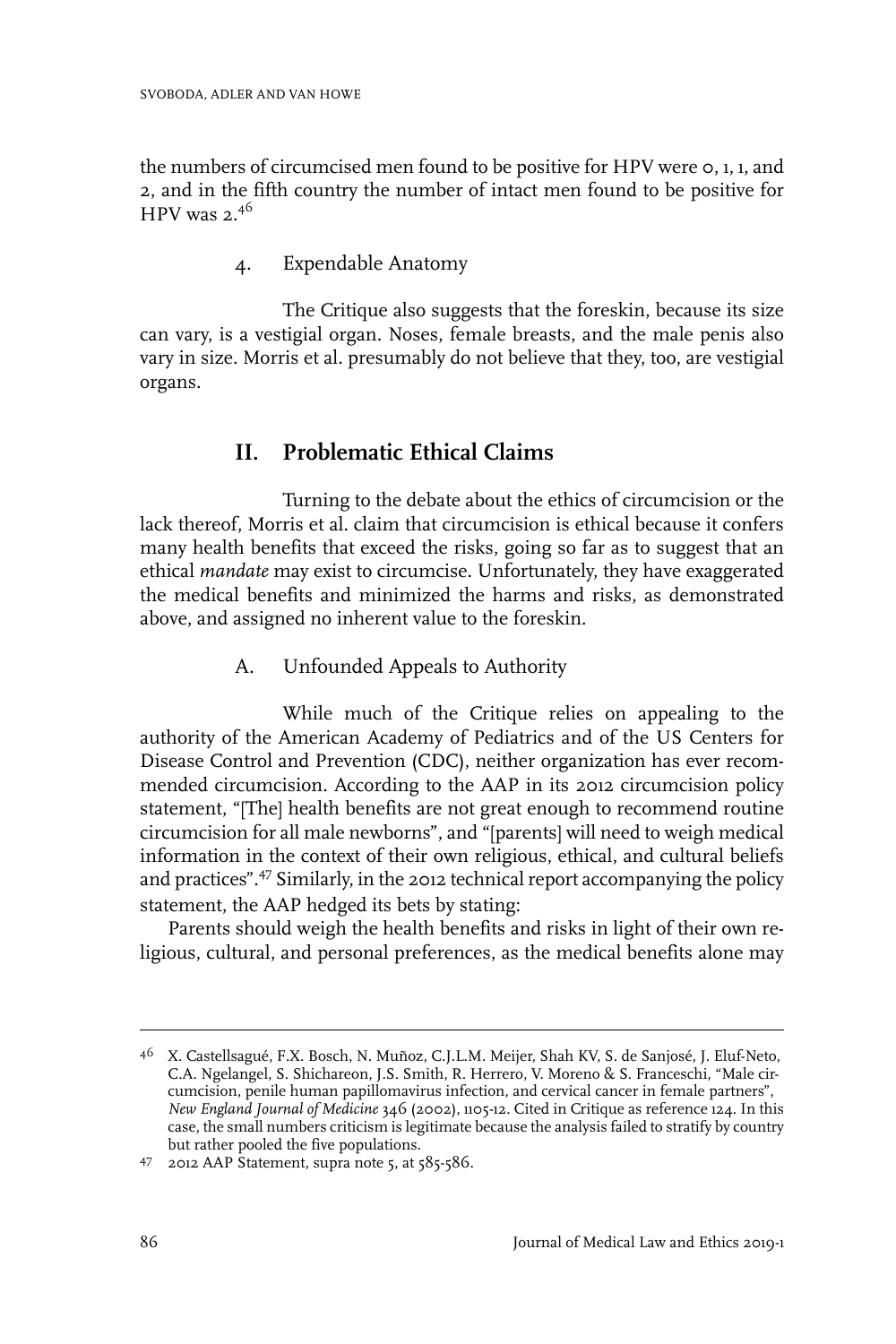the numbers of circumcised men found to be positive for HPV were 0, 1, 1, and 2, and in the fifth country the number of intact men found to be positive for HPV was  $2.^{46}$ 

4. Expendable Anatomy

The Critique also suggests that the foreskin, because its size can vary, is a vestigial organ. Noses, female breasts, and the male penis also vary in size. Morris et al. presumably do not believe that they, too, are vestigial organs.

# **II. Problematic Ethical Claims**

Turning to the debate about the ethics of circumcision or the lack thereof, Morris et al. claim that circumcision is ethical because it confers many health benefits that exceed the risks, going so far as to suggest that an ethical *mandate* may exist to circumcise. Unfortunately, they have exaggerated the medical benefits and minimized the harms and risks, as demonstrated above, and assigned no inherent value to the foreskin.

A. Unfounded Appeals to Authority

While much of the Critique relies on appealing to the authority of the American Academy of Pediatrics and of the US Centers for Disease Control and Prevention (CDC), neither organization has ever recommended circumcision. According to the AAP in its 2012 circumcision policy statement, "[The] health benefits are not great enough to recommend routine circumcision for all male newborns", and "[parents] will need to weigh medical information in the context of their own religious, ethical, and cultural beliefs and practices".47 Similarly, in the 2012 technical report accompanying the policy statement, the AAP hedged its bets by stating:

Parents should weigh the health benefits and risks in light of their own religious, cultural, and personal preferences, as the medical benefits alone may

<sup>4&</sup>lt;sup>6</sup> X. Castellsagué, F.X. Bosch, N. Muñoz, C.J.L.M. Meijer, Shah KV, S. de Sanjosé, J. Eluf-Neto, C.A. Ngelangel, S. Shichareon, J.S. Smith, R. Herrero, V. Moreno & S. Franceschi, "Male circumcision, penile human papillomavirus infection, and cervical cancer in female partners", *New England Journal of Medicine* 346 (2002), 1105-12. Cited in Critique as reference 124. In this case, the small numbers criticism is legitimate because the analysis failed to stratify by country but rather pooled the five populations.

 $47$  2012 AAP Statement, supra note 5, at  $585-586$ .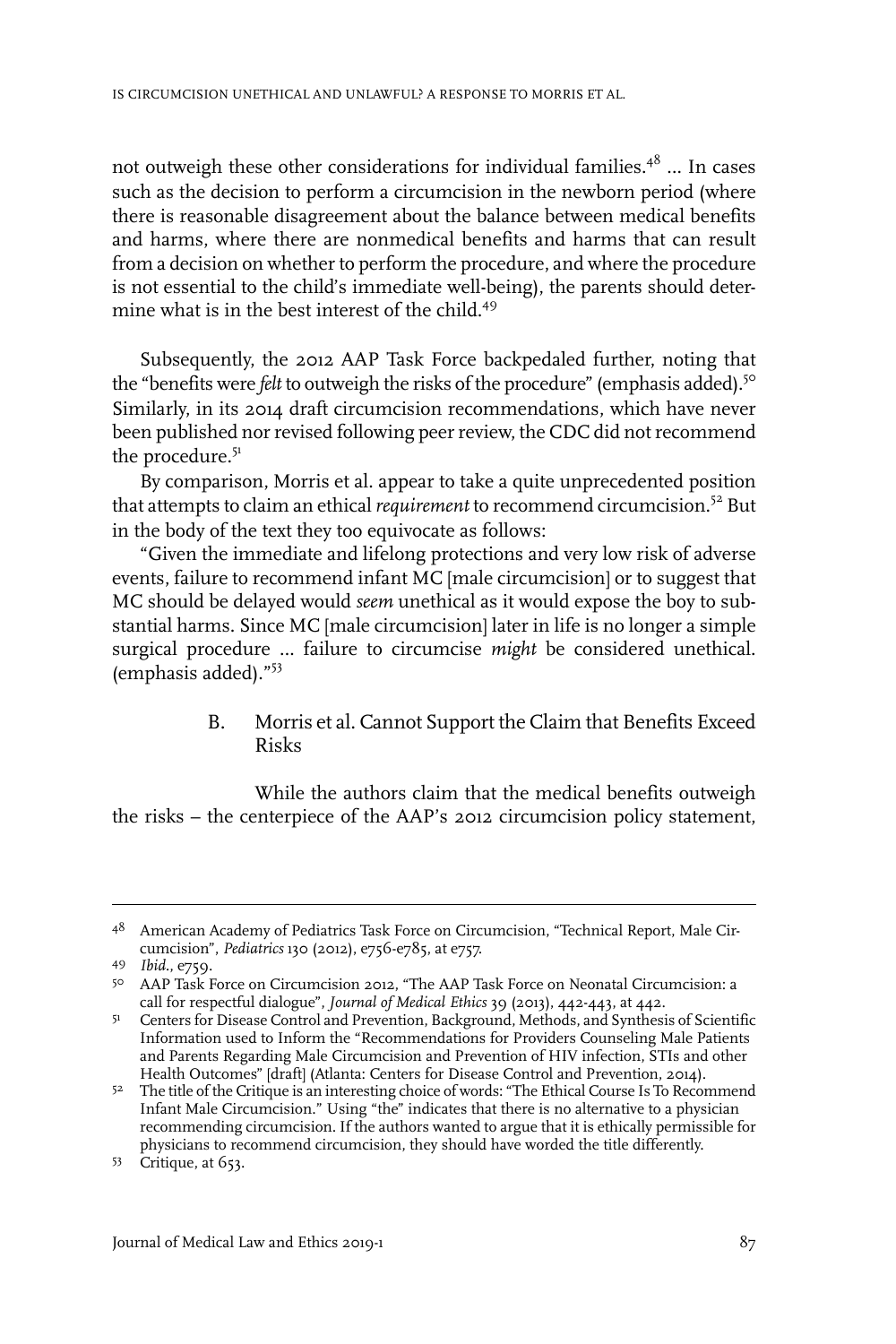not outweigh these other considerations for individual families. $4^8$  ... In cases such as the decision to perform a circumcision in the newborn period (where there is reasonable disagreement about the balance between medical benefits and harms, where there are nonmedical benefits and harms that can result from a decision on whether to perform the procedure, and where the procedure is not essential to the child's immediate well-being), the parents should determine what is in the best interest of the child.49

Subsequently, the 2012 AAP Task Force backpedaled further, noting that the "benefits were *felt* to outweigh the risks of the procedure" (emphasis added).<sup>50</sup> Similarly, in its 2014 draft circumcision recommendations, which have never been published nor revised following peer review, the CDC did not recommend the procedure.<sup>51</sup>

By comparison, Morris et al. appear to take a quite unprecedented position that attempts to claim an ethical *requirement* to recommend circumcision.<sup>52</sup> But in the body of the text they too equivocate as follows:

"Given the immediate and lifelong protections and very low risk of adverse events, failure to recommend infant MC [male circumcision] or to suggest that MC should be delayed would *seem* unethical as it would expose the boy to substantial harms. Since MC [male circumcision] later in life is no longer a simple surgical procedure … failure to circumcise *might* be considered unethical. (emphasis added)."53

#### B. Morris et al. Cannot Support the Claim that Benefits Exceed Risks

While the authors claim that the medical benefits outweigh the risks – the centerpiece of the AAP's 2012 circumcision policy statement,

<sup>48</sup> American Academy of Pediatrics Task Force on Circumcision, "Technical Report, Male Circumcision", *Pediatrics* 130 (2012), e756-e785, at e757.

*Ibid.*, e759. <sup>49</sup>

AAP Task Force on Circumcision 2012, "The AAP Task Force on Neonatal Circumcision: a 50 call for respectful dialogue", *Journal of Medical Ethics* 39 (2013), 442-443, at 442.

<sup>51</sup> Centers for Disease Control and Prevention, Background, Methods, and Synthesis of Scientific Information used to Inform the "Recommendations for Providers Counseling Male Patients and Parents Regarding Male Circumcision and Prevention of HIV infection, STIs and other Health Outcomes" [draft] (Atlanta: Centers for Disease Control and Prevention, 2014).

<sup>5&</sup>lt;sup>2</sup> The title of the Critique is an interesting choice of words: "The Ethical Course Is To Recommend Infant Male Circumcision." Using "the" indicates that there is no alternative to a physician recommending circumcision. If the authors wanted to argue that it is ethically permissible for physicians to recommend circumcision, they should have worded the title differently.

<sup>53</sup> Critique, at 653.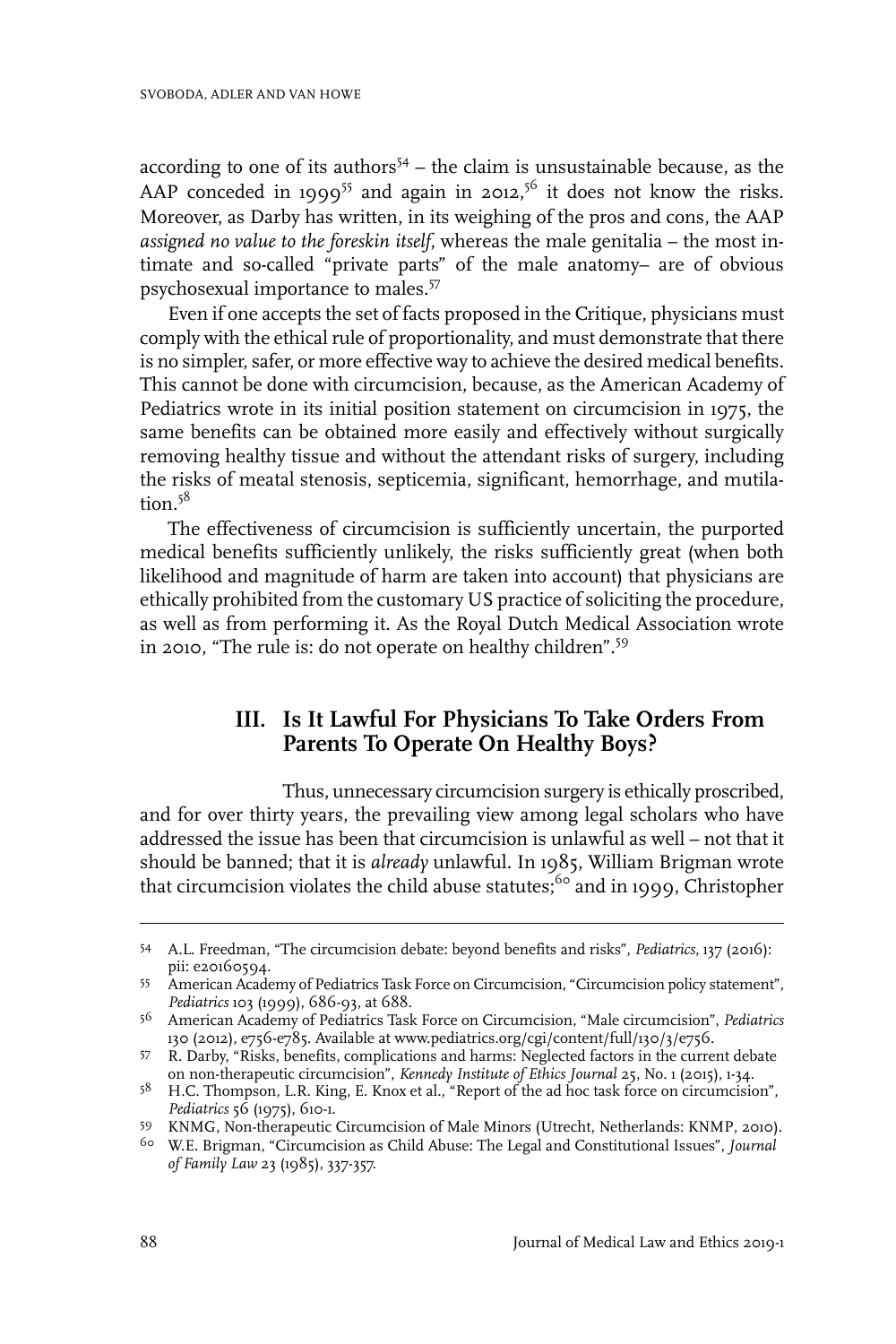according to one of its authors<sup> $54$ </sup> – the claim is unsustainable because, as the AAP conceded in 1999<sup>55</sup> and again in 2012,<sup>56</sup> it does not know the risks. Moreover, as Darby has written, in its weighing of the pros and cons, the AAP *assigned no value to the foreskin itself*, whereas the male genitalia – the most intimate and so-called "private parts" of the male anatomy– are of obvious psychosexual importance to males.<sup>57</sup>

Even if one accepts the set of facts proposed in the Critique, physicians must comply with the ethical rule of proportionality, and must demonstrate that there is no simpler, safer, or more effective way to achieve the desired medical benefits. This cannot be done with circumcision, because, as the American Academy of Pediatrics wrote in its initial position statement on circumcision in 1975, the same benefits can be obtained more easily and effectively without surgically removing healthy tissue and without the attendant risks of surgery, including the risks of meatal stenosis, septicemia, significant, hemorrhage, and mutilation. $5^8$ 

The effectiveness of circumcision is sufficiently uncertain, the purported medical benefits sufficiently unlikely, the risks sufficiently great (when both likelihood and magnitude of harm are taken into account) that physicians are ethically prohibited from the customary US practice of soliciting the procedure, as well as from performing it. As the Royal Dutch Medical Association wrote in 2010, "The rule is: do not operate on healthy children".<sup>59</sup>

## **III. Is It Lawful For Physicians To Take Orders From Parents To Operate On Healthy Boys?**

Thus, unnecessary circumcision surgery is ethically proscribed, and for over thirty years, the prevailing view among legal scholars who have addressed the issue has been that circumcision is unlawful as well – not that it should be banned; that it is *already* unlawful. In 1985, William Brigman wrote that circumcision violates the child abuse statutes; $60$  and in 1999, Christopher

A.L. Freedman, "The circumcision debate: beyond benefits and risks", *Pediatrics*, 137 (2016): 54 pii: e20160594.

American Academy of Pediatrics Task Force on Circumcision, "Circumcision policy statement", 55 *Pediatrics* 103 (1999), 686-93, at 688.

American Academy of Pediatrics Task Force on Circumcision, "Male circumcision", *Pediatrics* 56 130 (2012), e756-e785. Available at www.pediatrics.org/cgi/content/full/130/3/e756.

<sup>57</sup> R. Darby, "Risks, benefits, complications and harms: Neglected factors in the current debate on non-therapeutic circumcision", *Kennedy Institute of Ethics Journal* 25, No. 1 (2015), 1-34.

<sup>&</sup>lt;sup>58</sup> H.C. Thompson, L.R. King, E. Knox et al., "Report of the ad hoc task force on circumcision", *Pediatrics* 56 (1975), 610-1.

KNMG, Non-therapeutic Circumcision of Male Minors (Utrecht, Netherlands: KNMP, 2010). <sup>59</sup>

W.E. Brigman, "Circumcision as Child Abuse: The Legal and Constitutional Issues", *Journal* 60 *of Family Law* 23 (1985), 337-357.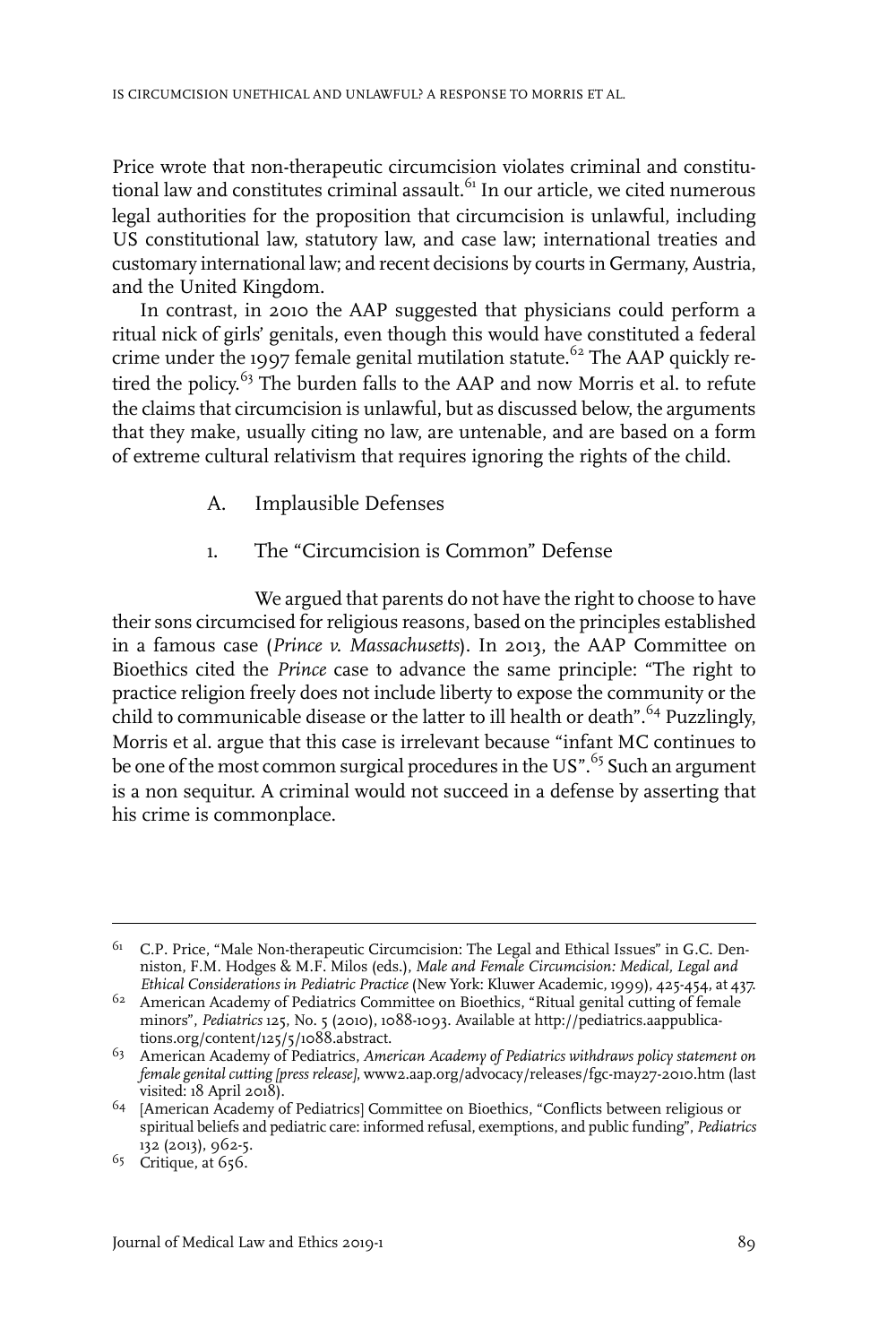Price wrote that non-therapeutic circumcision violates criminal and constitutional law and constitutes criminal assault. $61$  In our article, we cited numerous legal authorities for the proposition that circumcision is unlawful, including US constitutional law, statutory law, and case law; international treaties and customary international law; and recent decisions by courts in Germany, Austria, and the United Kingdom.

In contrast, in 2010 the AAP suggested that physicians could perform a ritual nick of girls' genitals, even though this would have constituted a federal crime under the 1997 female genital mutilation statute.<sup>62</sup> The AAP quickly retired the policy.<sup>63</sup> The burden falls to the AAP and now Morris et al. to refute the claims that circumcision is unlawful, but as discussed below, the arguments that they make, usually citing no law, are untenable, and are based on a form of extreme cultural relativism that requires ignoring the rights of the child.

- A. Implausible Defenses
- 1. The "Circumcision is Common" Defense

We argued that parents do not have the right to choose to have their sons circumcised forreligious reasons, based on the principles established in a famous case (*Prince v. Massachusetts*). In 2013, the AAP Committee on Bioethics cited the *Prince* case to advance the same principle: "The right to practice religion freely does not include liberty to expose the community or the child to communicable disease or the latter to ill health or death".<sup>64</sup> Puzzlingly, Morris et al. argue that this case is irrelevant because "infant MC continues to be one of the most common surgical procedures in the US".<sup>65</sup> Such an argument is a non sequitur. A criminal would not succeed in a defense by asserting that his crime is commonplace.

<sup>&</sup>lt;sup>61</sup> C.P. Price, "Male Non-therapeutic Circumcision: The Legal and Ethical Issues" in G.C. Denniston, F.M. Hodges & M.F. Milos (eds.), *Male and Female Circumcision: Medical, Legal and Ethical Considerations in Pediatric Practice* (New York: Kluwer Academic, 1999), 425-454, at 437.

<sup>&</sup>lt;sup>62</sup> American Academy of Pediatrics Committee on Bioethics, "Ritual genital cutting of female minors", *Pediatrics* 125, No. 5 (2010), 1088-1093. Available at http://pediatrics.aappublications.org/content/125/5/1088.abstract.

American Academy of Pediatrics, *American Academy of Pediatrics withdraws policy statement on* 63 *female genital cutting [press release]*, www2.aap.org/advocacy/releases/fgc-may27-2010.htm (last visited: 18 April 2018).

<sup>&</sup>lt;sup>64</sup> [American Academy of Pediatrics] Committee on Bioethics, "Conflicts between religious or spiritual beliefs and pediatric care: informed refusal, exemptions, and public funding", *Pediatrics* 132 (2013), 962-5.

 $65$  Critique, at 656.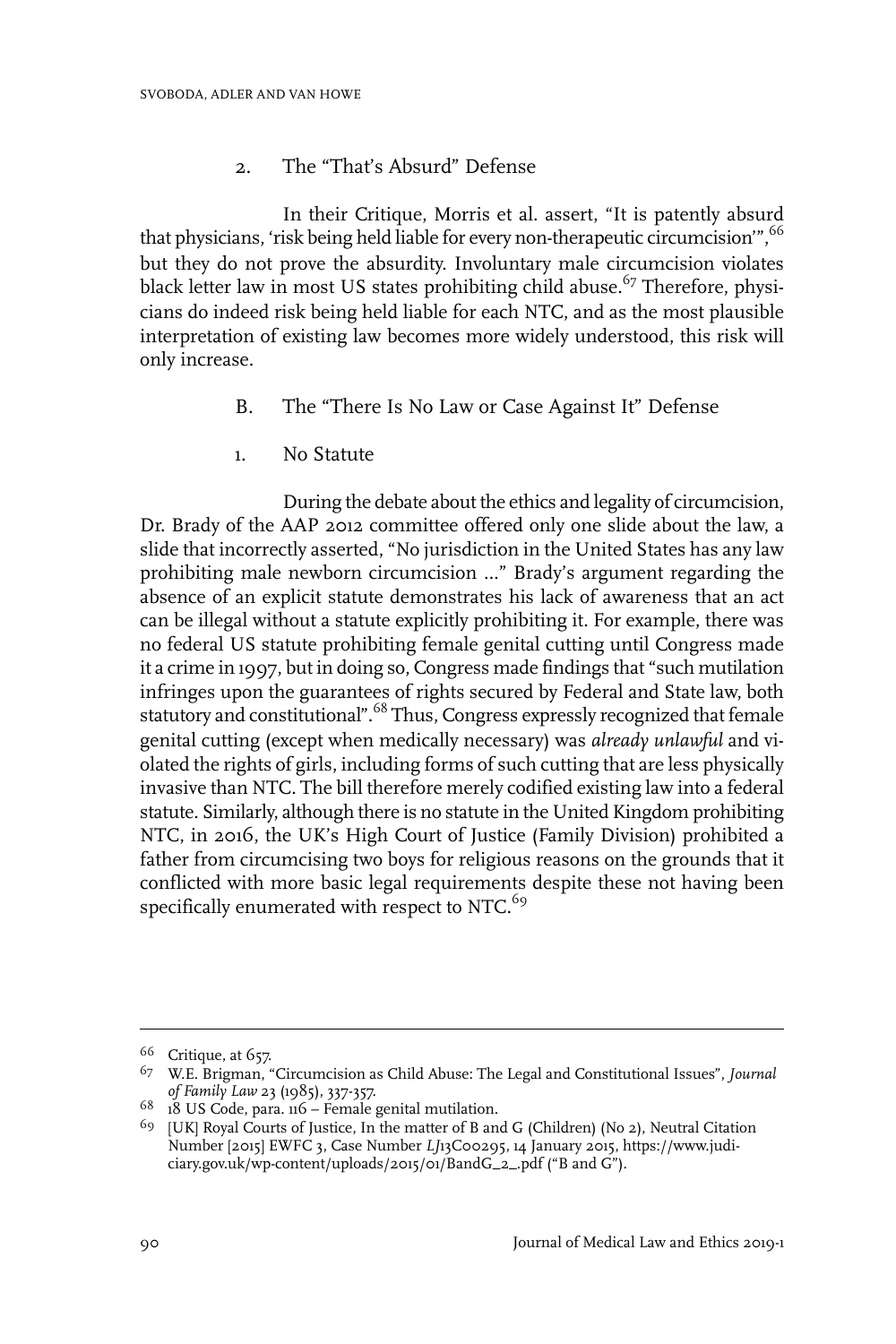## 2. The "That's Absurd" Defense

In their Critique, Morris et al. assert, "It is patently absurd that physicians, 'risk being held liable for every non-therapeutic circumcision'", <sup>66</sup> but they do not prove the absurdity. Involuntary male circumcision violates black letter law in most US states prohibiting child abuse.<sup>67</sup> Therefore, physicians do indeed risk being held liable for each NTC, and as the most plausible interpretation of existing law becomes more widely understood, this risk will only increase.

- B. The "There Is No Law or Case Against It" Defense
- 1. No Statute

During the debate about the ethics and legality of circumcision, Dr. Brady of the AAP 2012 committee offered only one slide about the law, a slide that incorrectly asserted, "No jurisdiction in the United States has any law prohibiting male newborn circumcision …" Brady's argument regarding the absence of an explicit statute demonstrates his lack of awareness that an act can be illegal without a statute explicitly prohibiting it. For example, there was no federal US statute prohibiting female genital cutting until Congress made it a crime in 1997, but in doing so, Congress made findings that "such mutilation infringes upon the guarantees of rights secured by Federal and State law, both statutory and constitutional".<sup>68</sup> Thus, Congress expressly recognized that female genital cutting (except when medically necessary) was *already unlawful* and violated the rights of girls, including forms of such cutting that are less physically invasive than NTC. The bill therefore merely codified existing law into a federal statute. Similarly, although there is no statute in the United Kingdom prohibiting NTC, in 2016, the UK's High Court of Justice (Family Division) prohibited a father from circumcising two boys for religious reasons on the grounds that it conflicted with more basic legal requirements despite these not having been specifically enumerated with respect to NTC. $^{69}$ 

 $66$  Critique, at 657.

W.E. Brigman, "Circumcision as Child Abuse: The Legal and Constitutional Issues", *Journal* 67 *of Family Law* 23 (1985), 337-357.

 $68$  18 US Code, para. 116 – Female genital mutilation.

<sup>&</sup>lt;sup>69</sup> [UK] Royal Courts of Justice, In the matter of B and G (Children) (No 2), Neutral Citation Number [2015] EWFC 3, Case Number *LJ*13C00295, 14 January 2015, https://www.judiciary.gov.uk/wp-content/uploads/2015/01/BandG\_2\_.pdf ("B and G").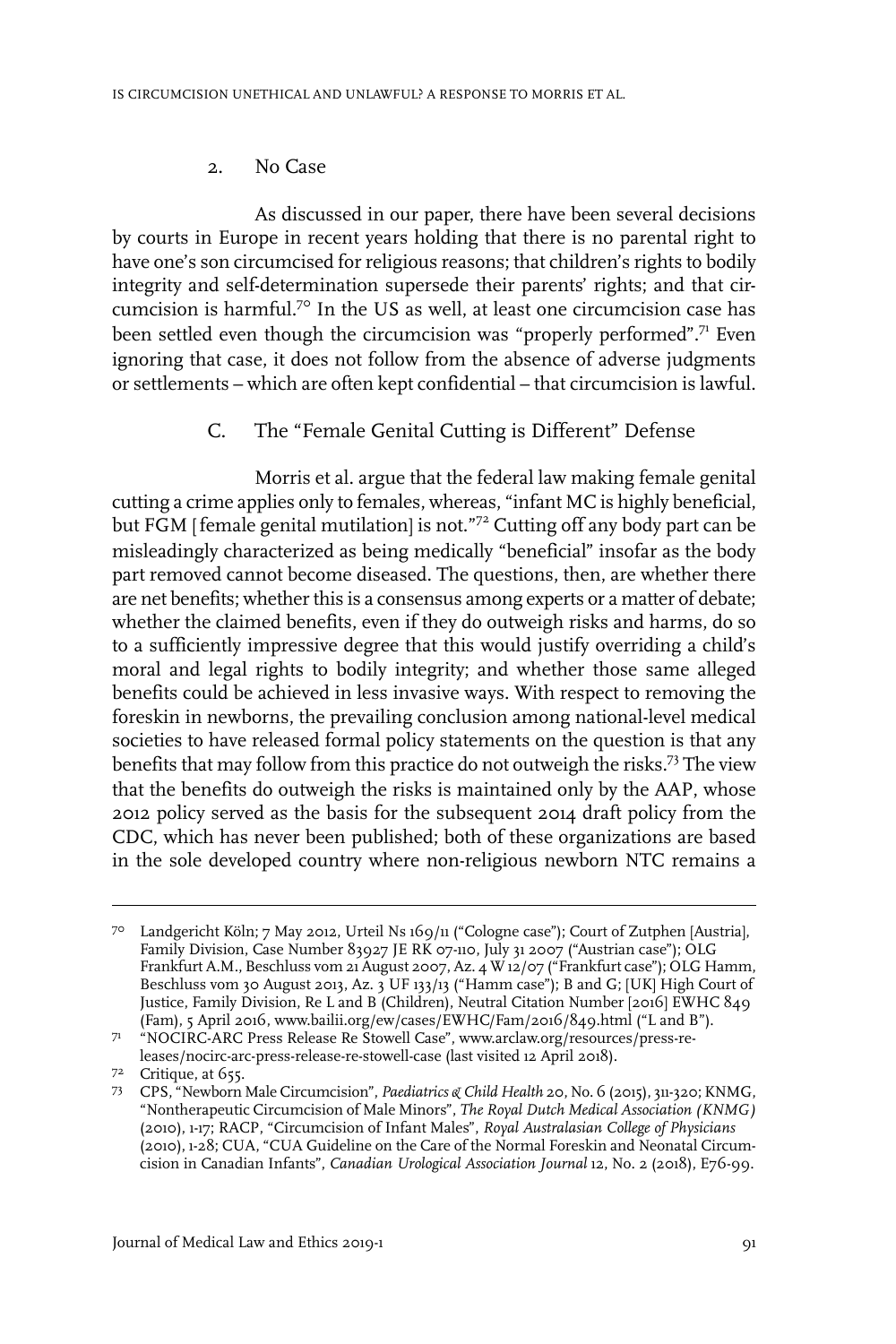#### 2. No Case

As discussed in our paper, there have been several decisions by courts in Europe in recent years holding that there is no parental right to have one's son circumcised for religious reasons; that children's rights to bodily integrity and self-determination supersede their parents' rights; and that circumcision is harmful.<sup>70</sup> In the US as well, at least one circumcision case has been settled even though the circumcision was "properly performed".<sup>71</sup> Even ignoring that case, it does not follow from the absence of adverse judgments or settlements – which are often kept confidential – that circumcision is lawful.

C. The "Female Genital Cutting is Different" Defense

Morris et al. argue that the federal law making female genital cutting a crime applies only to females, whereas, "infant MC is highly beneficial, but FGM [female genital mutilation] is not."72 Cutting off any body part can be misleadingly characterized as being medically "beneficial" insofar as the body part removed cannot become diseased. The questions, then, are whether there are net benefits; whether this is a consensus among experts or a matter of debate; whether the claimed benefits, even if they do outweigh risks and harms, do so to a sufficiently impressive degree that this would justify overriding a child's moral and legal rights to bodily integrity; and whether those same alleged benefits could be achieved in less invasive ways. With respect to removing the foreskin in newborns, the prevailing conclusion among national-level medical societies to have released formal policy statements on the question is that any benefits that may follow from this practice do not outweigh the risks.73 The view that the benefits do outweigh the risks is maintained only by the AAP, whose 2012 policy served as the basis for the subsequent 2014 draft policy from the CDC, which has never been published; both of these organizations are based in the sole developed country where non-religious newborn NTC remains a

Landgericht Köln; 7 May 2012, Urteil Ns 169/11 ("Cologne case"); Court of Zutphen [Austria], 70 Family Division, Case Number 83927 JE RK 07-110, July 31 2007 ("Austrian case"); OLG Frankfurt A.M., Beschluss vom 21 August 2007, Az. 4 W 12/07 ("Frankfurt case"); OLG Hamm, Beschluss vom 30 August 2013, Az. 3 UF 133/13 ("Hamm case"); B and G; [UK] High Court of Justice, Family Division, Re L and B (Children), Neutral Citation Number [2016] EWHC 849 (Fam), 5 April 2016, www.bailii.org/ew/cases/EWHC/Fam/2016/849.html ("L and B").

<sup>&</sup>quot;NOCIRC-ARC Press Release Re Stowell Case", www.arclaw.org/resources/press-releases/nocirc-arc-press-release-re-stowell-case (last visited 12 April 2018). 71

<sup>7&</sup>lt;sup>2</sup> Critique, at 655.

CPS, "Newborn Male Circumcision", *Paediatrics & Child Health* 20, No. 6 (2015), 311-320; KNMG, 73 "Nontherapeutic Circumcision of Male Minors", *The Royal Dutch Medical Association (KNMG)* (2010), 1-17; RACP, "Circumcision of Infant Males", *Royal Australasian College of Physicians* (2010), 1-28; CUA, "CUA Guideline on the Care of the Normal Foreskin and Neonatal Circumcision in Canadian Infants", *Canadian Urological Association Journal* 12, No. 2 (2018), E76-99.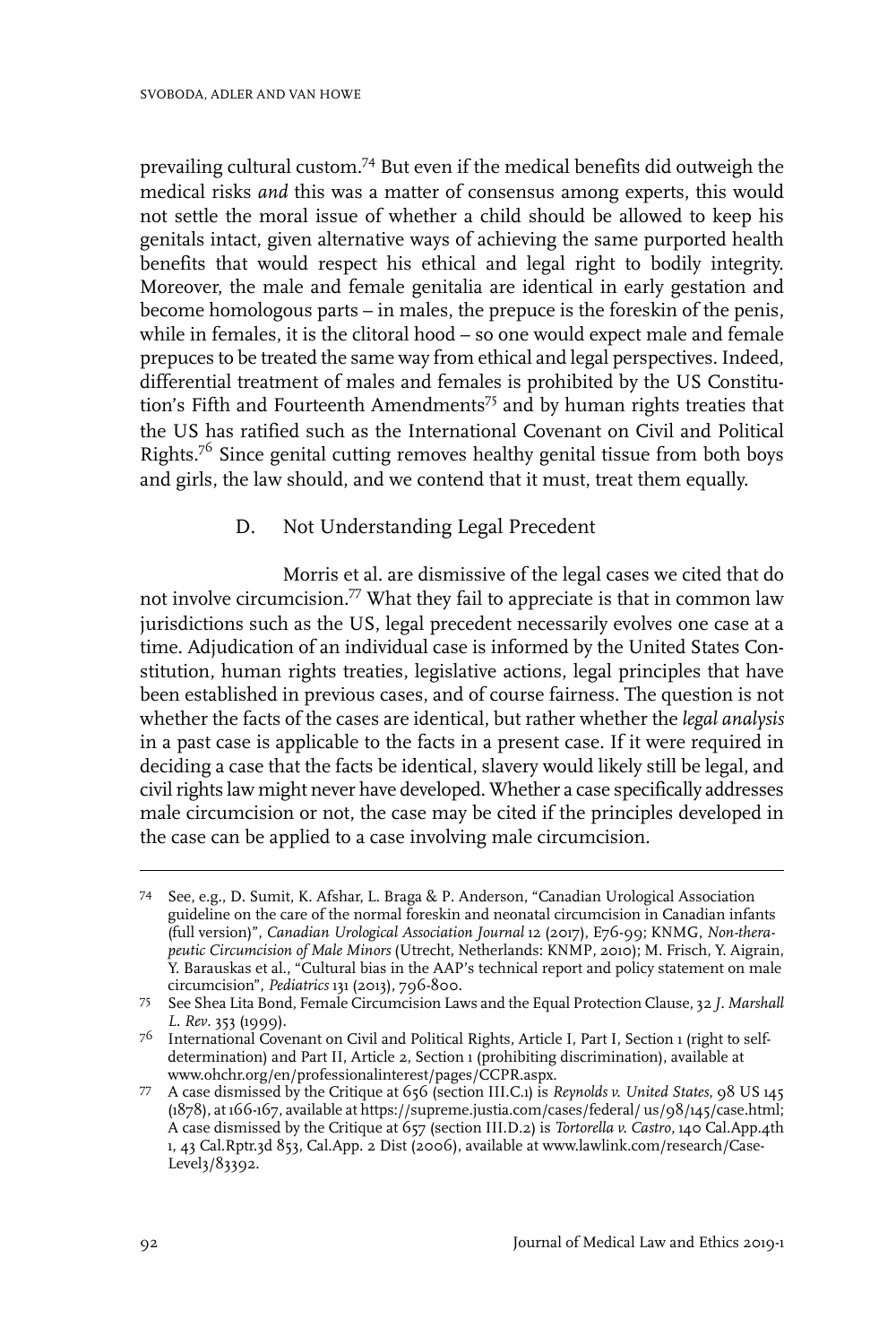prevailing cultural custom.74 But even if the medical benefits did outweigh the medical risks *and* this was a matter of consensus among experts, this would not settle the moral issue of whether a child should be allowed to keep his genitals intact, given alternative ways of achieving the same purported health benefits that would respect his ethical and legal right to bodily integrity. Moreover, the male and female genitalia are identical in early gestation and become homologous parts – in males, the prepuce is the foreskin of the penis, while in females, it is the clitoral hood – so one would expect male and female prepuces to be treated the same way from ethical and legal perspectives. Indeed, differential treatment of males and females is prohibited by the US Constitution's Fifth and Fourteenth Amendments<sup>75</sup> and by human rights treaties that the US has ratified such as the International Covenant on Civil and Political Rights.<sup>76</sup> Since genital cutting removes healthy genital tissue from both boys and girls, the law should, and we contend that it must, treat them equally.

#### D. Not Understanding Legal Precedent

Morris et al. are dismissive of the legal cases we cited that do not involve circumcision.77 What they fail to appreciate is that in common law jurisdictions such as the US, legal precedent necessarily evolves one case at a time. Adjudication of an individual case is informed by the United States Constitution, human rights treaties, legislative actions, legal principles that have been established in previous cases, and of course fairness. The question is not whether the facts of the cases are identical, but rather whether the *legal analysis* in a past case is applicable to the facts in a present case. If it were required in deciding a case that the facts be identical, slavery would likely still be legal, and civil rights law might never have developed. Whether a case specifically addresses male circumcision or not, the case may be cited if the principles developed in the case can be applied to a case involving male circumcision.

See, e.g., D. Sumit, K. Afshar, L. Braga & P. Anderson, "Canadian Urological Association 74 guideline on the care of the normal foreskin and neonatal circumcision in Canadian infants (full version)", *Canadian Urological Association Journal* 12 (2017), E76-99; KNMG, *Non-therapeutic Circumcision of Male Minors* (Utrecht, Netherlands: KNMP, 2010); M. Frisch, Y. Aigrain, Y. Barauskas et al., "Cultural bias in the AAP's technical report and policy statement on male circumcision", *Pediatrics* 131 (2013), 796-800.

See Shea Lita Bond, Female Circumcision Laws and the Equal Protection Clause, 32 *J. Marshall* 75 *L. Rev*. 353 (1999).

<sup>&</sup>lt;sup>76</sup> International Covenant on Civil and Political Rights, Article I, Part I, Section 1 (right to selfdetermination) and Part II, Article 2, Section 1 (prohibiting discrimination), available at www.ohchr.org/en/professionalinterest/pages/CCPR.aspx.

A case dismissed by the Critique at 656 (section III.C.1) is *Reynolds v. United States*, 98 US 145 77 (1878), at 166-167, available at https://supreme.justia.com/cases/federal/ us/98/145/case.html; A case dismissed by the Critique at 657 (section III.D.2) is *Tortorella v. Castro*, 140 Cal.App.4th 1, 43 Cal.Rptr.3d 853, Cal.App. 2 Dist (2006), available at www.lawlink.com/research/Case-Level3/83392.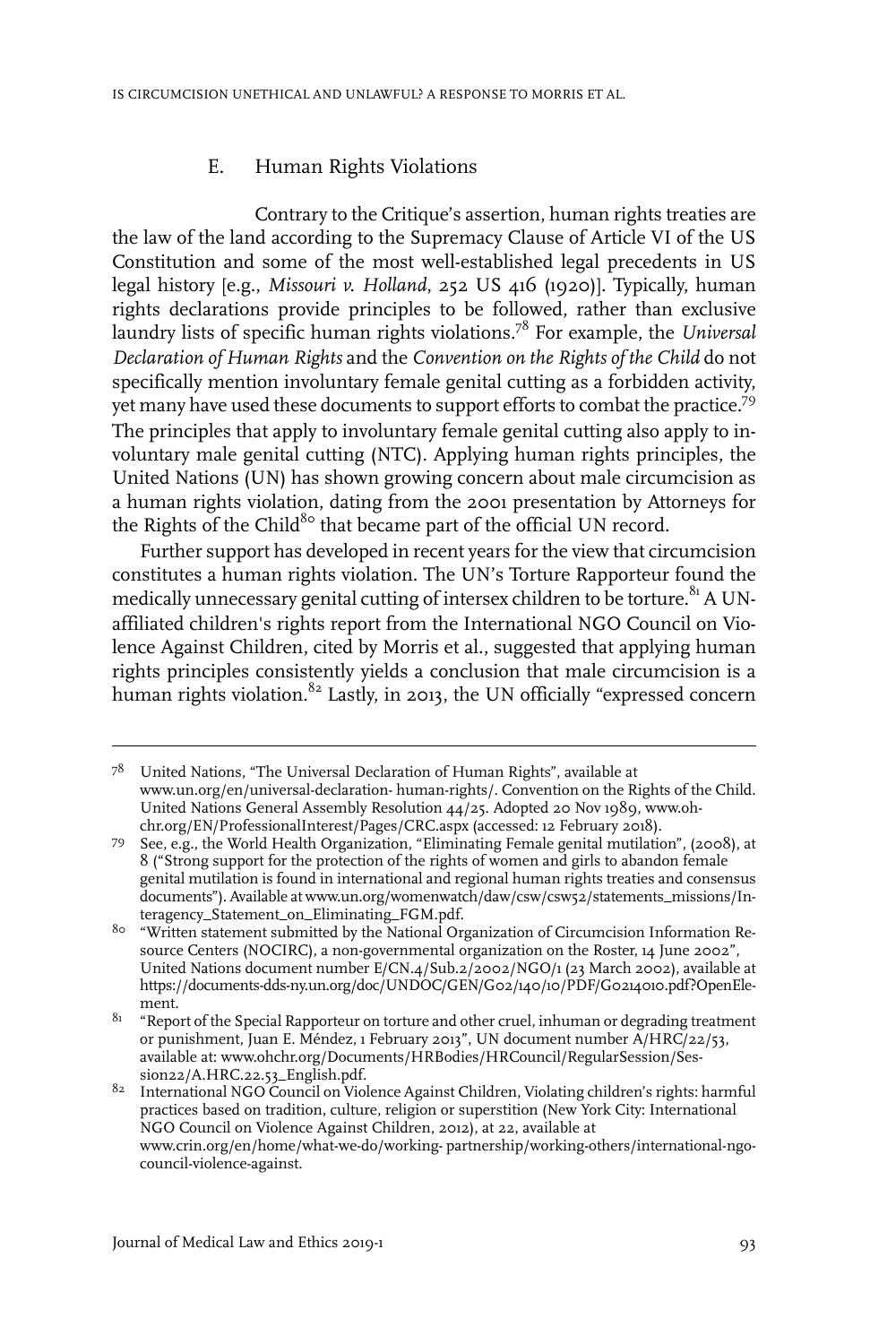#### E. Human Rights Violations

Contrary to the Critique's assertion, human rights treaties are the law of the land according to the Supremacy Clause of Article VI of the US Constitution and some of the most well-established legal precedents in US legal history [e.g., *Missouri v. Holland*, 252 US 416 (1920)]. Typically, human rights declarations provide principles to be followed, rather than exclusive laundry lists of specific human rights violations.78 For example, the *Universal Declaration of Human Rights* and the *Convention on the Rights of the Child* do not specifically mention involuntary female genital cutting as a forbidden activity, yet many have used these documents to support efforts to combat the practice.79 The principles that apply to involuntary female genital cutting also apply to involuntary male genital cutting (NTC). Applying human rights principles, the United Nations (UN) has shown growing concern about male circumcision as a human rights violation, dating from the 2001 presentation by Attorneys for the Rights of the Child<sup>80</sup> that became part of the official UN record.

Further support has developed in recent years for the view that circumcision constitutes a human rights violation. The UN's Torture Rapporteur found the medically unnecessary genital cutting of intersex children to be torture.<sup>81</sup> A UNaffiliated children's rights report from the International NGO Council on Violence Against Children, cited by Morris et al., suggested that applying human rights principles consistently yields a conclusion that male circumcision is a human rights violation.<sup>82</sup> Lastly, in 2013, the UN officially "expressed concern

 $7^8$  United Nations, "The Universal Declaration of Human Rights", available at www.un.org/en/universal-declaration- human-rights/. Convention on the Rights of the Child. United Nations General Assembly Resolution 44/25. Adopted 20 Nov 1989, www.ohchr.org/EN/ProfessionalInterest/Pages/CRC.aspx (accessed: 12 February 2018).

See, e.g., the World Health Organization, "Eliminating Female genital mutilation", (2008), at 8 ("Strong support for the protection of the rights of women and girls to abandon female 79 genital mutilation is found in international and regional human rights treaties and consensus documents"). Available at www.un.org/womenwatch/daw/csw/csw52/statements\_missions/Interagency\_Statement\_on\_Eliminating\_FGM.pdf.

 $8^\circ$  "Written statement submitted by the National Organization of Circumcision Information Resource Centers (NOCIRC), a non-governmental organization on the Roster, 14 June 2002", United Nations document number E/CN.4/Sub.2/2002/NGO/1 (23 March 2002), available at https://documents-dds-ny.un.org/doc/UNDOC/GEN/G02/140/10/PDF/G0214010.pdf?OpenElement.

 $8^{\text{1}}$  "Report of the Special Rapporteur on torture and other cruel, inhuman or degrading treatment or punishment, Juan E. Méndez, 1 February 2013", UN document number A/HRC/22/53, available at: www.ohchr.org/Documents/HRBodies/HRCouncil/RegularSession/Session22/A.HRC.22.53\_English.pdf.

 $82$  International NGO Council on Violence Against Children, Violating children's rights: harmful practices based on tradition, culture, religion or superstition (New York City: International NGO Council on Violence Against Children, 2012), at 22, available at www.crin.org/en/home/what-we-do/working- partnership/working-others/international-ngocouncil-violence-against.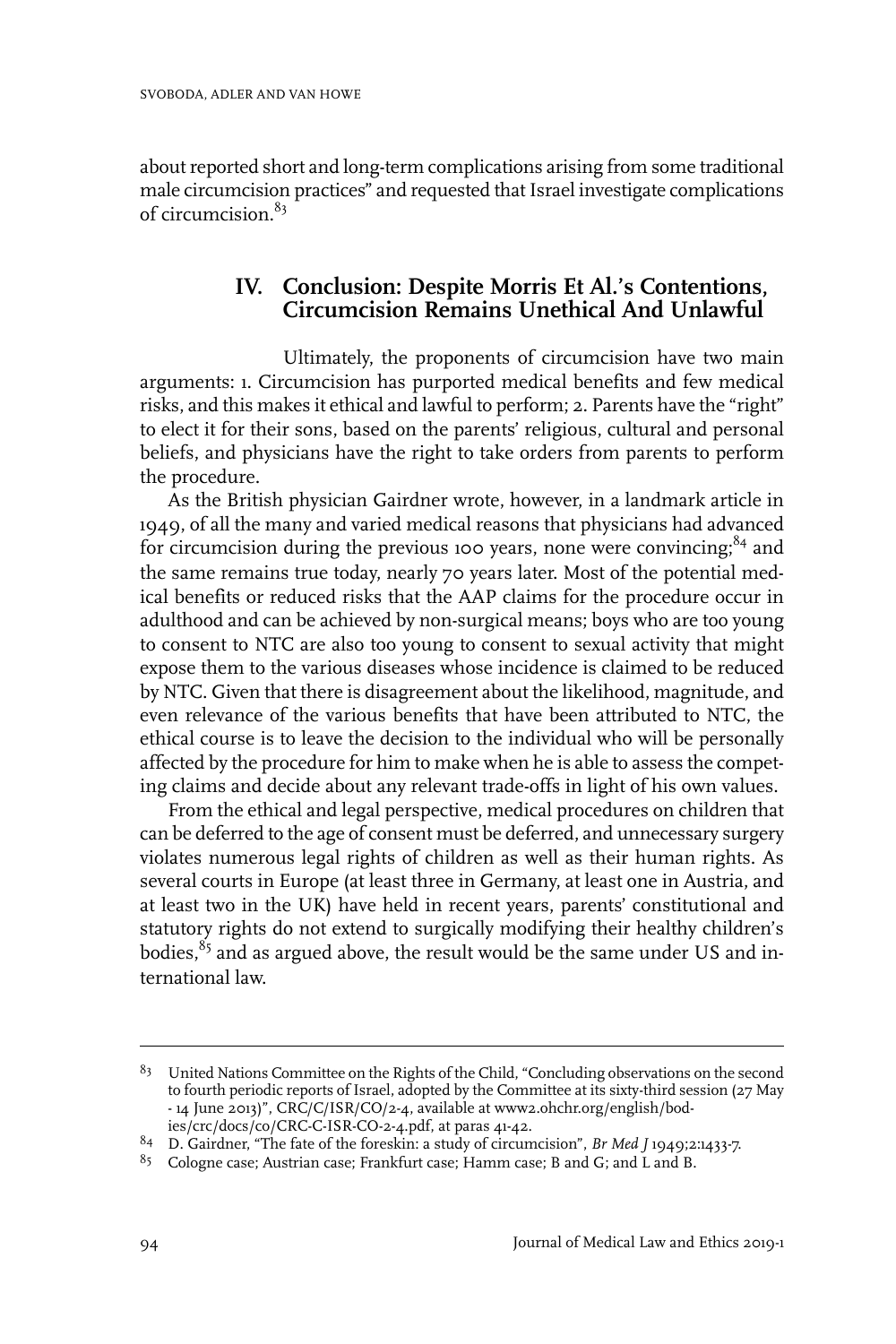about reported short and long-term complications arising from some traditional male circumcision practices" and requested that Israel investigate complications of circumcision.<sup>83</sup>

## **IV. Conclusion: Despite Morris Et Al.'s Contentions, Circumcision Remains Unethical And Unlawful**

Ultimately, the proponents of circumcision have two main arguments: 1. Circumcision has purported medical benefits and few medical risks, and this makes it ethical and lawful to perform; 2. Parents have the "right" to elect it for their sons, based on the parents' religious, cultural and personal beliefs, and physicians have the right to take orders from parents to perform the procedure.

As the British physician Gairdner wrote, however, in a landmark article in 1949, of all the many and varied medical reasons that physicians had advanced for circumcision during the previous 100 years, none were convincing; $84$  and the same remains true today, nearly 70 years later. Most of the potential medical benefits or reduced risks that the AAP claims for the procedure occur in adulthood and can be achieved by non-surgical means; boys who are too young to consent to NTC are also too young to consent to sexual activity that might expose them to the various diseases whose incidence is claimed to be reduced by NTC. Given that there is disagreement about the likelihood, magnitude, and even relevance of the various benefits that have been attributed to NTC, the ethical course is to leave the decision to the individual who will be personally affected by the procedure for him to make when he is able to assess the competing claims and decide about any relevant trade-offs in light of his own values.

From the ethical and legal perspective, medical procedures on children that can be deferred to the age of consent must be deferred, and unnecessary surgery violates numerous legal rights of children as well as their human rights. As several courts in Europe (at least three in Germany, at least one in Austria, and at least two in the UK) have held in recent years, parents' constitutional and statutory rights do not extend to surgically modifying their healthy children's bodies, $85$  and as argued above, the result would be the same under US and international law.

<sup>&</sup>lt;sup>83</sup> United Nations Committee on the Rights of the Child, "Concluding observations on the second to fourth periodic reports of Israel, adopted by the Committee at its sixty-third session (27 May - 14 June 2013)", CRC/C/ISR/CO/2-4, available at www2.ohchr.org/english/bodies/crc/docs/co/CRC-C-ISR-CO-2-4.pdf, at paras 41-42.

D. Gairdner, "The fate of the foreskin: a study of circumcision", *Br Med J* 1949;2:1433-7. <sup>84</sup>

<sup>&</sup>lt;sup>85</sup> Cologne case; Austrian case; Frankfurt case; Hamm case; B and G; and L and B.